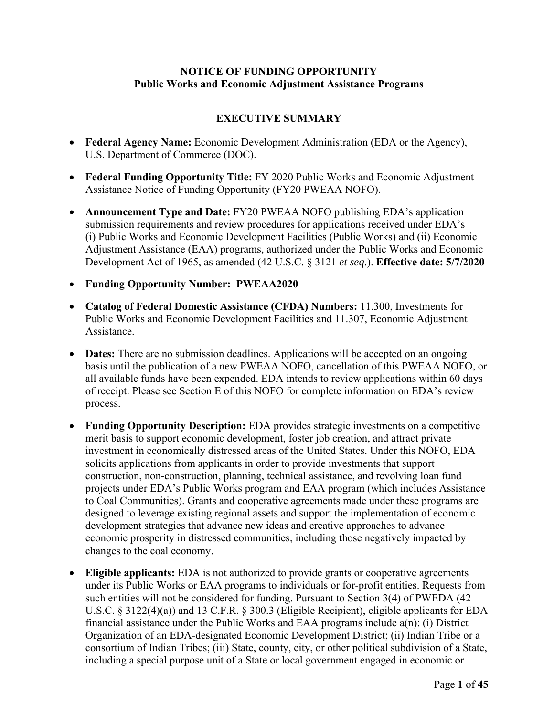# **NOTICE OF FUNDING OPPORTUNITY Public Works and Economic Adjustment Assistance Programs**

# **EXECUTIVE SUMMARY**

- **Federal Agency Name:** Economic Development Administration (EDA or the Agency), U.S. Department of Commerce (DOC).
- **Federal Funding Opportunity Title:** FY 2020 Public Works and Economic Adjustment Assistance Notice of Funding Opportunity (FY20 PWEAA NOFO).
- **Announcement Type and Date:** FY20 PWEAA NOFO publishing EDA's application submission requirements and review procedures for applications received under EDA's (i) Public Works and Economic Development Facilities (Public Works) and (ii) Economic Adjustment Assistance (EAA) programs, authorized under the Public Works and Economic Development Act of 1965, as amended (42 U.S.C. § 3121 *et seq*.). **Effective date: 5/7/2020**
- **Funding Opportunity Number: PWEAA2020**
- **Catalog of Federal Domestic Assistance (CFDA) Numbers:** 11.300, Investments for Public Works and Economic Development Facilities and 11.307, Economic Adjustment Assistance.
- **Dates:** There are no submission deadlines. Applications will be accepted on an ongoing basis until the publication of a new PWEAA NOFO, cancellation of this PWEAA NOFO, or all available funds have been expended. EDA intends to review applications within 60 days of receipt. Please see Section E of this NOFO for complete information on EDA's review process.
- **Funding Opportunity Description:** EDA provides strategic investments on a competitive merit basis to support economic development, foster job creation, and attract private investment in economically distressed areas of the United States. Under this NOFO, EDA solicits applications from applicants in order to provide investments that support construction, non-construction, planning, technical assistance, and revolving loan fund projects under EDA's Public Works program and EAA program (which includes Assistance to Coal Communities). Grants and cooperative agreements made under these programs are designed to leverage existing regional assets and support the implementation of economic development strategies that advance new ideas and creative approaches to advance economic prosperity in distressed communities, including those negatively impacted by changes to the coal economy.
- **Eligible applicants:** EDA is not authorized to provide grants or cooperative agreements under its Public Works or EAA programs to individuals or for-profit entities. Requests from such entities will not be considered for funding. Pursuant to Section 3(4) of PWEDA (42 U.S.C. § 3122(4)(a)) and 13 C.F.R. § 300.3 (Eligible Recipient), eligible applicants for EDA financial assistance under the Public Works and EAA programs include a(n): (i) District Organization of an EDA-designated Economic Development District; (ii) Indian Tribe or a consortium of Indian Tribes; (iii) State, county, city, or other political subdivision of a State, including a special purpose unit of a State or local government engaged in economic or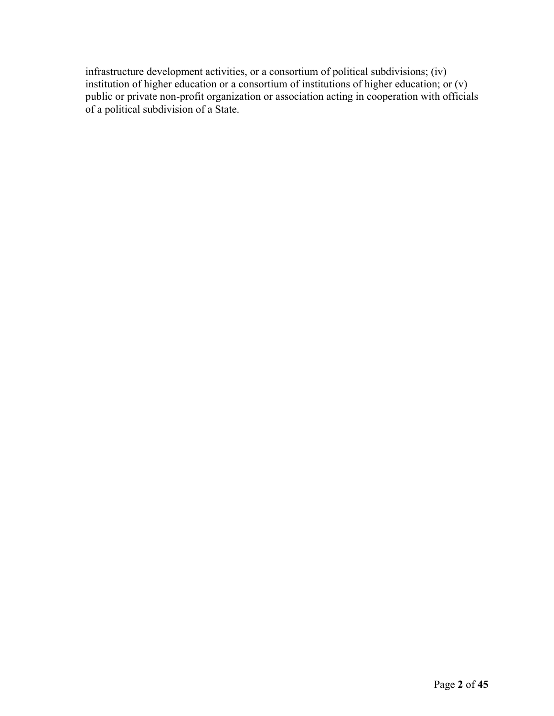infrastructure development activities, or a consortium of political subdivisions; (iv) institution of higher education or a consortium of institutions of higher education; or (v) public or private non-profit organization or association acting in cooperation with officials of a political subdivision of a State.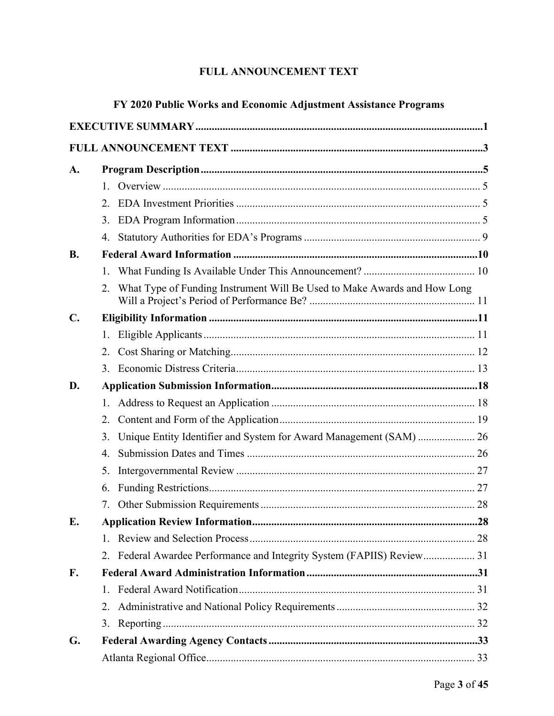# FULL ANNOUNCEMENT TEXT

| FY 2020 Public Works and Economic Adjustment Assistance Programs |              |                                                                          |  |  |  |  |
|------------------------------------------------------------------|--------------|--------------------------------------------------------------------------|--|--|--|--|
|                                                                  |              |                                                                          |  |  |  |  |
|                                                                  |              |                                                                          |  |  |  |  |
| A.                                                               |              |                                                                          |  |  |  |  |
|                                                                  | $1_{-}$      |                                                                          |  |  |  |  |
|                                                                  | 2.           |                                                                          |  |  |  |  |
|                                                                  | 3.           |                                                                          |  |  |  |  |
|                                                                  | 4.           |                                                                          |  |  |  |  |
| <b>B.</b>                                                        |              |                                                                          |  |  |  |  |
|                                                                  | $1_{\cdot}$  |                                                                          |  |  |  |  |
|                                                                  | 2.           | What Type of Funding Instrument Will Be Used to Make Awards and How Long |  |  |  |  |
| $\mathbf{C}$ .                                                   |              |                                                                          |  |  |  |  |
|                                                                  |              |                                                                          |  |  |  |  |
|                                                                  | 2.           |                                                                          |  |  |  |  |
|                                                                  | 3.           |                                                                          |  |  |  |  |
| D.                                                               |              |                                                                          |  |  |  |  |
|                                                                  | 1.           |                                                                          |  |  |  |  |
|                                                                  | 2.           |                                                                          |  |  |  |  |
|                                                                  | 3.           | Unique Entity Identifier and System for Award Management (SAM)  26       |  |  |  |  |
|                                                                  | 4.           |                                                                          |  |  |  |  |
|                                                                  | 5.           |                                                                          |  |  |  |  |
|                                                                  | 6.           |                                                                          |  |  |  |  |
|                                                                  | 7.           |                                                                          |  |  |  |  |
| E.                                                               |              |                                                                          |  |  |  |  |
|                                                                  | $1_{\ldots}$ |                                                                          |  |  |  |  |
|                                                                  | 2.           | Federal Awardee Performance and Integrity System (FAPIIS) Review 31      |  |  |  |  |
| $\mathbf{F}$ .                                                   |              |                                                                          |  |  |  |  |
|                                                                  | 1.           |                                                                          |  |  |  |  |
|                                                                  | 2.           |                                                                          |  |  |  |  |
|                                                                  | 3.           |                                                                          |  |  |  |  |
| G.                                                               |              |                                                                          |  |  |  |  |
|                                                                  |              |                                                                          |  |  |  |  |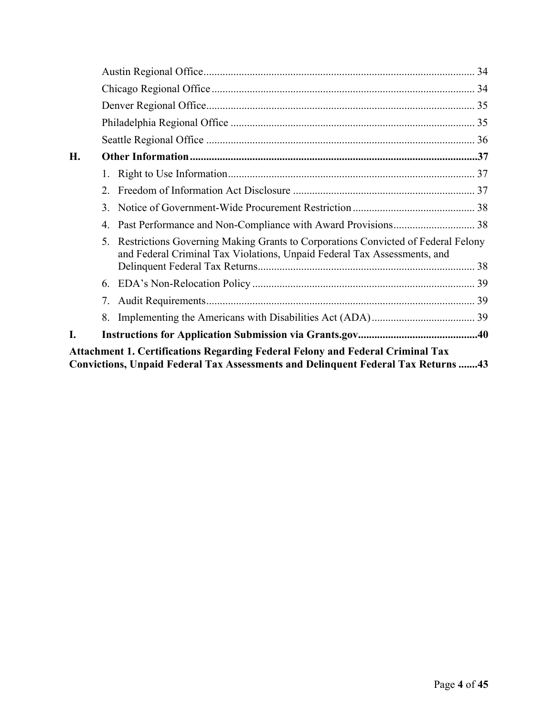| <b>H.</b>                                                                                                                                                                  |                |                                                                                                                                                              |  |  |  |  |
|----------------------------------------------------------------------------------------------------------------------------------------------------------------------------|----------------|--------------------------------------------------------------------------------------------------------------------------------------------------------------|--|--|--|--|
|                                                                                                                                                                            |                |                                                                                                                                                              |  |  |  |  |
|                                                                                                                                                                            | 2.             |                                                                                                                                                              |  |  |  |  |
|                                                                                                                                                                            | 3.             |                                                                                                                                                              |  |  |  |  |
|                                                                                                                                                                            | 4.             |                                                                                                                                                              |  |  |  |  |
|                                                                                                                                                                            | 5 <sub>1</sub> | Restrictions Governing Making Grants to Corporations Convicted of Federal Felony<br>and Federal Criminal Tax Violations, Unpaid Federal Tax Assessments, and |  |  |  |  |
|                                                                                                                                                                            | 6.             |                                                                                                                                                              |  |  |  |  |
|                                                                                                                                                                            | 7.             |                                                                                                                                                              |  |  |  |  |
|                                                                                                                                                                            | 8.             |                                                                                                                                                              |  |  |  |  |
|                                                                                                                                                                            |                |                                                                                                                                                              |  |  |  |  |
| <b>Attachment 1. Certifications Regarding Federal Felony and Federal Criminal Tax</b><br>Convictions, Unpaid Federal Tax Assessments and Delinquent Federal Tax Returns 43 |                |                                                                                                                                                              |  |  |  |  |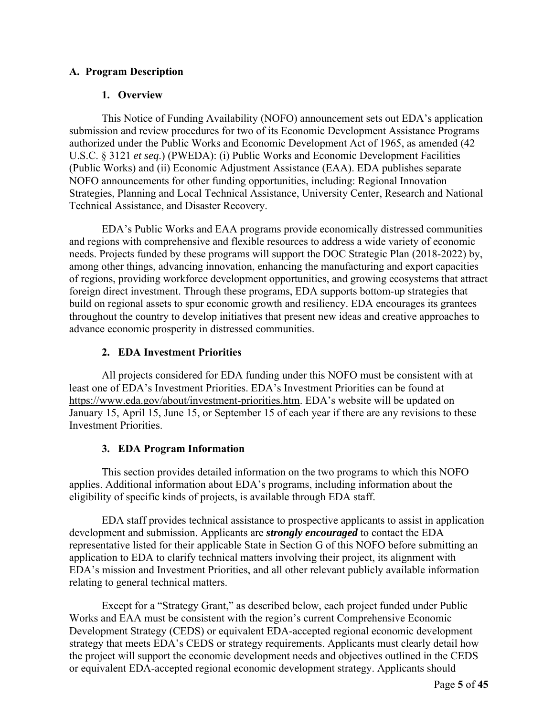# **A. Program Description**

# **1. Overview**

This Notice of Funding Availability (NOFO) announcement sets out EDA's application submission and review procedures for two of its Economic Development Assistance Programs authorized under the Public Works and Economic Development Act of 1965, as amended (42 U.S.C. § 3121 *et seq*.) (PWEDA): (i) Public Works and Economic Development Facilities (Public Works) and (ii) Economic Adjustment Assistance (EAA). EDA publishes separate NOFO announcements for other funding opportunities, including: Regional Innovation Strategies, Planning and Local Technical Assistance, University Center, Research and National Technical Assistance, and Disaster Recovery.

EDA's Public Works and EAA programs provide economically distressed communities and regions with comprehensive and flexible resources to address a wide variety of economic needs. Projects funded by these programs will support the DOC Strategic Plan (2018-2022) by, among other things, advancing innovation, enhancing the manufacturing and export capacities of regions, providing workforce development opportunities, and growing ecosystems that attract foreign direct investment. Through these programs, EDA supports bottom-up strategies that build on regional assets to spur economic growth and resiliency. EDA encourages its grantees throughout the country to develop initiatives that present new ideas and creative approaches to advance economic prosperity in distressed communities.

# **2. EDA Investment Priorities**

All projects considered for EDA funding under this NOFO must be consistent with at least one of EDA's Investment Priorities. EDA's Investment Priorities can be found at https://www.eda.gov/about/investment-priorities.htm. EDA's website will be updated on January 15, April 15, June 15, or September 15 of each year if there are any revisions to these Investment Priorities.

# **3. EDA Program Information**

This section provides detailed information on the two programs to which this NOFO applies. Additional information about EDA's programs, including information about the eligibility of specific kinds of projects, is available through EDA staff.

EDA staff provides technical assistance to prospective applicants to assist in application development and submission. Applicants are *strongly encouraged* to contact the EDA representative listed for their applicable State in Section G of this NOFO before submitting an application to EDA to clarify technical matters involving their project, its alignment with EDA's mission and Investment Priorities, and all other relevant publicly available information relating to general technical matters.

Except for a "Strategy Grant," as described below, each project funded under Public Works and EAA must be consistent with the region's current Comprehensive Economic Development Strategy (CEDS) or equivalent EDA-accepted regional economic development strategy that meets EDA's CEDS or strategy requirements. Applicants must clearly detail how the project will support the economic development needs and objectives outlined in the CEDS or equivalent EDA-accepted regional economic development strategy. Applicants should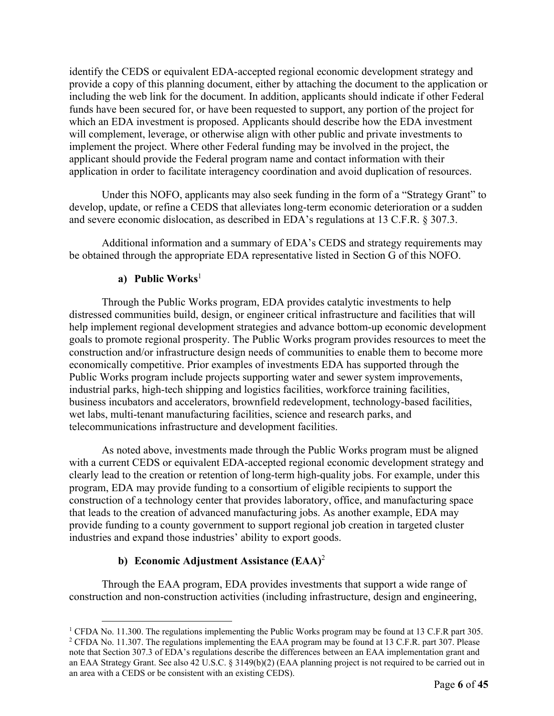identify the CEDS or equivalent EDA-accepted regional economic development strategy and provide a copy of this planning document, either by attaching the document to the application or including the web link for the document. In addition, applicants should indicate if other Federal funds have been secured for, or have been requested to support, any portion of the project for which an EDA investment is proposed. Applicants should describe how the EDA investment will complement, leverage, or otherwise align with other public and private investments to implement the project. Where other Federal funding may be involved in the project, the applicant should provide the Federal program name and contact information with their application in order to facilitate interagency coordination and avoid duplication of resources.

Under this NOFO, applicants may also seek funding in the form of a "Strategy Grant" to develop, update, or refine a CEDS that alleviates long-term economic deterioration or a sudden and severe economic dislocation, as described in EDA's regulations at 13 C.F.R. § 307.3.

Additional information and a summary of EDA's CEDS and strategy requirements may be obtained through the appropriate EDA representative listed in Section G of this NOFO.

# **a) Public Works**<sup>1</sup>

Through the Public Works program, EDA provides catalytic investments to help distressed communities build, design, or engineer critical infrastructure and facilities that will help implement regional development strategies and advance bottom-up economic development goals to promote regional prosperity. The Public Works program provides resources to meet the construction and/or infrastructure design needs of communities to enable them to become more economically competitive. Prior examples of investments EDA has supported through the Public Works program include projects supporting water and sewer system improvements, industrial parks, high-tech shipping and logistics facilities, workforce training facilities, business incubators and accelerators, brownfield redevelopment, technology-based facilities, wet labs, multi-tenant manufacturing facilities, science and research parks, and telecommunications infrastructure and development facilities.

As noted above, investments made through the Public Works program must be aligned with a current CEDS or equivalent EDA-accepted regional economic development strategy and clearly lead to the creation or retention of long-term high-quality jobs. For example, under this program, EDA may provide funding to a consortium of eligible recipients to support the construction of a technology center that provides laboratory, office, and manufacturing space that leads to the creation of advanced manufacturing jobs. As another example, EDA may provide funding to a county government to support regional job creation in targeted cluster industries and expand those industries' ability to export goods.

# **b) Economic Adjustment Assistance (EAA)**<sup>2</sup>

Through the EAA program, EDA provides investments that support a wide range of construction and non-construction activities (including infrastructure, design and engineering,

<sup>&</sup>lt;sup>1</sup> CFDA No. 11.300. The regulations implementing the Public Works program may be found at 13 C.F.R part 305.<br><sup>2</sup> CEDA No. 11.307. The regulations implementing the EAA program may be found at 13 C.E.R. part 307. Please <sup>2</sup> CFDA No. 11.307. The regulations implementing the EAA program may be found at 13 C.F.R. part 307. Please note that Section 307.3 of EDA's regulations describe the differences between an EAA implementation grant and an EAA Strategy Grant. See also 42 U.S.C. § 3149(b)(2) (EAA planning project is not required to be carried out in an area with a CEDS or be consistent with an existing CEDS).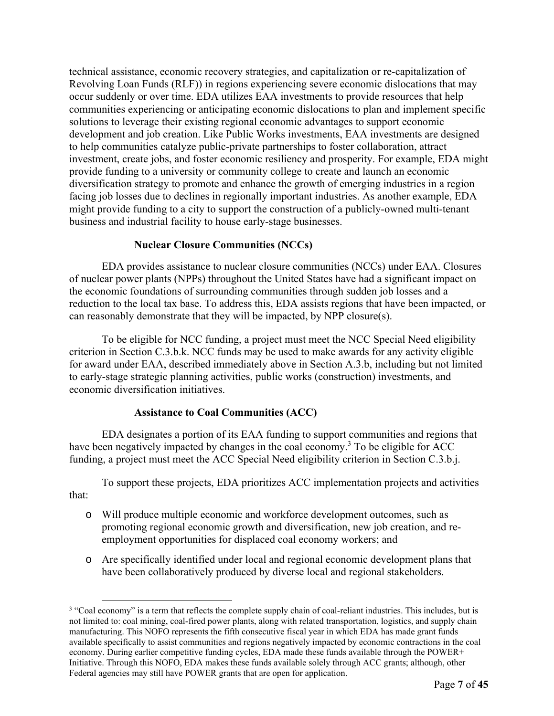technical assistance, economic recovery strategies, and capitalization or re-capitalization of Revolving Loan Funds (RLF)) in regions experiencing severe economic dislocations that may occur suddenly or over time. EDA utilizes EAA investments to provide resources that help communities experiencing or anticipating economic dislocations to plan and implement specific solutions to leverage their existing regional economic advantages to support economic development and job creation. Like Public Works investments, EAA investments are designed to help communities catalyze public-private partnerships to foster collaboration, attract investment, create jobs, and foster economic resiliency and prosperity. For example, EDA might provide funding to a university or community college to create and launch an economic diversification strategy to promote and enhance the growth of emerging industries in a region facing job losses due to declines in regionally important industries. As another example, EDA might provide funding to a city to support the construction of a publicly-owned multi-tenant business and industrial facility to house early-stage businesses.

# **Nuclear Closure Communities (NCCs)**

EDA provides assistance to nuclear closure communities (NCCs) under EAA. Closures of nuclear power plants (NPPs) throughout the United States have had a significant impact on the economic foundations of surrounding communities through sudden job losses and a reduction to the local tax base. To address this, EDA assists regions that have been impacted, or can reasonably demonstrate that they will be impacted, by NPP closure(s).

To be eligible for NCC funding, a project must meet the NCC Special Need eligibility criterion in Section C.3.b.k. NCC funds may be used to make awards for any activity eligible for award under EAA, described immediately above in Section A.3.b, including but not limited to early-stage strategic planning activities, public works (construction) investments, and economic diversification initiatives.

# **Assistance to Coal Communities (ACC)**

EDA designates a portion of its EAA funding to support communities and regions that have been negatively impacted by changes in the coal economy.<sup>3</sup> To be eligible for ACC funding, a project must meet the ACC Special Need eligibility criterion in Section C.3.b.j.

To support these projects, EDA prioritizes ACC implementation projects and activities that:

- o Will produce multiple economic and workforce development outcomes, such as promoting regional economic growth and diversification, new job creation, and reemployment opportunities for displaced coal economy workers; and
- o Are specifically identified under local and regional economic development plans that have been collaboratively produced by diverse local and regional stakeholders.

<sup>&</sup>lt;sup>3</sup> "Coal economy" is a term that reflects the complete supply chain of coal-reliant industries. This includes, but is not limited to: coal mining, coal-fired power plants, along with related transportation, logistics, and supply chain manufacturing. This NOFO represents the fifth consecutive fiscal year in which EDA has made grant funds available specifically to assist communities and regions negatively impacted by economic contractions in the coal economy. During earlier competitive funding cycles, EDA made these funds available through the POWER+ Initiative. Through this NOFO, EDA makes these funds available solely through ACC grants; although, other Federal agencies may still have POWER grants that are open for application.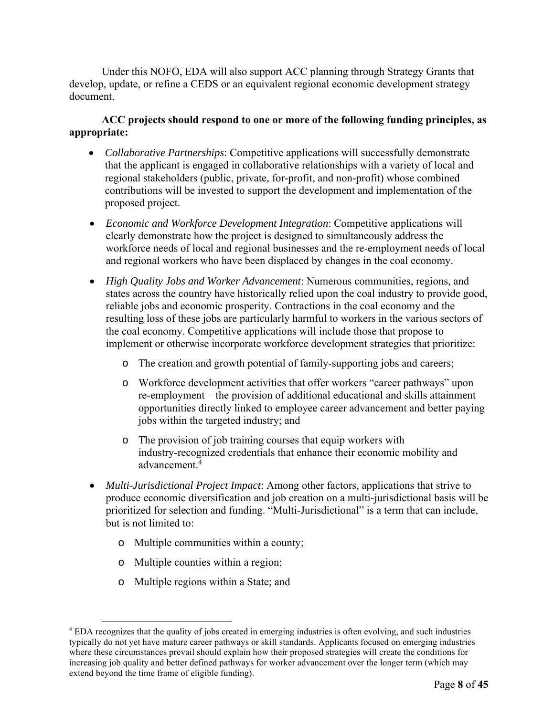Under this NOFO, EDA will also support ACC planning through Strategy Grants that develop, update, or refine a CEDS or an equivalent regional economic development strategy document.

# **ACC projects should respond to one or more of the following funding principles, as appropriate:**

- *Collaborative Partnerships*: Competitive applications will successfully demonstrate that the applicant is engaged in collaborative relationships with a variety of local and regional stakeholders (public, private, for-profit, and non-profit) whose combined contributions will be invested to support the development and implementation of the proposed project.
- *Economic and Workforce Development Integration*: Competitive applications will clearly demonstrate how the project is designed to simultaneously address the workforce needs of local and regional businesses and the re-employment needs of local and regional workers who have been displaced by changes in the coal economy.
- *High Quality Jobs and Worker Advancement*: Numerous communities, regions, and states across the country have historically relied upon the coal industry to provide good, reliable jobs and economic prosperity. Contractions in the coal economy and the resulting loss of these jobs are particularly harmful to workers in the various sectors of the coal economy. Competitive applications will include those that propose to implement or otherwise incorporate workforce development strategies that prioritize:
	- o The creation and growth potential of family-supporting jobs and careers;
	- o Workforce development activities that offer workers "career pathways" upon re-employment – the provision of additional educational and skills attainment opportunities directly linked to employee career advancement and better paying jobs within the targeted industry; and
	- o The provision of job training courses that equip workers with industry-recognized credentials that enhance their economic mobility and advancement.<sup>4</sup>
- *Multi-Jurisdictional Project Impact*: Among other factors, applications that strive to produce economic diversification and job creation on a multi-jurisdictional basis will be prioritized for selection and funding. "Multi-Jurisdictional" is a term that can include, but is not limited to:
	- o Multiple communities within a county;
	- o Multiple counties within a region;
	- o Multiple regions within a State; and

<sup>&</sup>lt;sup>4</sup> EDA recognizes that the quality of jobs created in emerging industries is often evolving, and such industries typically do not yet have mature career pathways or skill standards. Applicants focused on emerging industries where these circumstances prevail should explain how their proposed strategies will create the conditions for increasing job quality and better defined pathways for worker advancement over the longer term (which may extend beyond the time frame of eligible funding).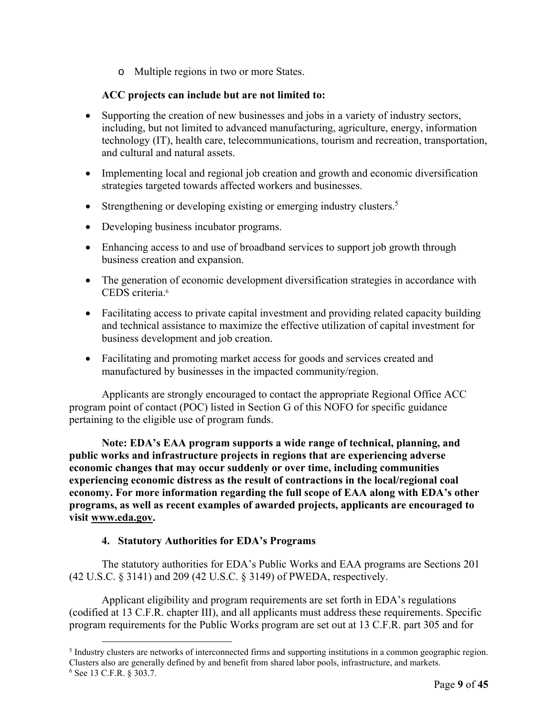o Multiple regions in two or more States.

# **ACC projects can include but are not limited to:**

- Supporting the creation of new businesses and jobs in a variety of industry sectors, including, but not limited to advanced manufacturing, agriculture, energy, information technology (IT), health care, telecommunications, tourism and recreation, transportation, and cultural and natural assets.
- Implementing local and regional job creation and growth and economic diversification strategies targeted towards affected workers and businesses.
- Strengthening or developing existing or emerging industry clusters.<sup>5</sup>
- Developing business incubator programs.
- Enhancing access to and use of broadband services to support job growth through business creation and expansion.
- The generation of economic development diversification strategies in accordance with CEDS criteria.6
- Facilitating access to private capital investment and providing related capacity building and technical assistance to maximize the effective utilization of capital investment for business development and job creation.
- Facilitating and promoting market access for goods and services created and manufactured by businesses in the impacted community/region.

Applicants are strongly encouraged to contact the appropriate Regional Office ACC program point of contact (POC) listed in Section G of this NOFO for specific guidance pertaining to the eligible use of program funds.

**Note: EDA's EAA program supports a wide range of technical, planning, and public works and infrastructure projects in regions that are experiencing adverse economic changes that may occur suddenly or over time, including communities experiencing economic distress as the result of contractions in the local/regional coal economy. For more information regarding the full scope of EAA along with EDA's other programs, as well as recent examples of awarded projects, applicants are encouraged to visit www.eda.gov.** 

# **4. Statutory Authorities for EDA's Programs**

The statutory authorities for EDA's Public Works and EAA programs are Sections 201 (42 U.S.C. § 3141) and 209 (42 U.S.C. § 3149) of PWEDA, respectively.

Applicant eligibility and program requirements are set forth in EDA's regulations (codified at 13 C.F.R. chapter III), and all applicants must address these requirements. Specific program requirements for the Public Works program are set out at 13 C.F.R. part 305 and for

<sup>&</sup>lt;sup>5</sup> Industry clusters are networks of interconnected firms and supporting institutions in a common geographic region. Clusters also are generally defined by and benefit from shared labor pools, infrastructure, and markets. 6 See 13 C.F.R. § 303.7.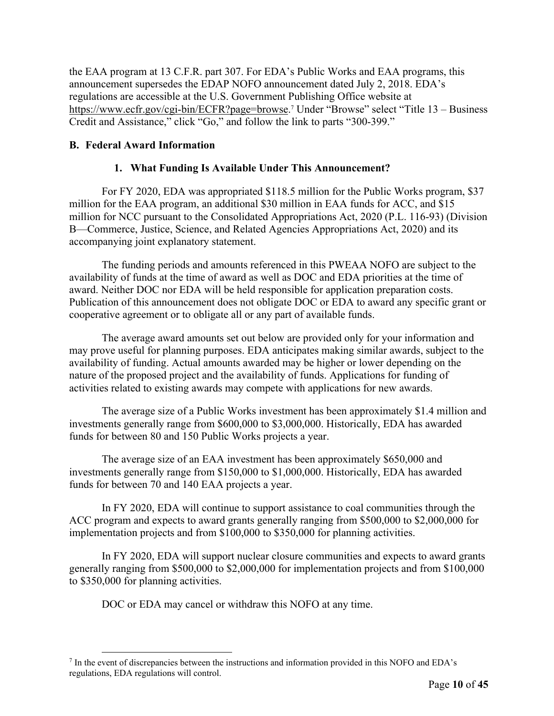the EAA program at 13 C.F.R. part 307. For EDA's Public Works and EAA programs, this announcement supersedes the EDAP NOFO announcement dated July 2, 2018. EDA's regulations are accessible at the U.S. Government Publishing Office website at https://www.ecfr.gov/cgi-bin/ECFR?page=browse.<sup>7</sup> Under "Browse" select "Title 13 – Business Credit and Assistance," click "Go," and follow the link to parts "300-399."

# **B. Federal Award Information**

# **1. What Funding Is Available Under This Announcement?**

For FY 2020, EDA was appropriated \$118.5 million for the Public Works program, \$37 million for the EAA program, an additional \$30 million in EAA funds for ACC, and \$15 million for NCC pursuant to the Consolidated Appropriations Act, 2020 (P.L. 116-93) (Division B—Commerce, Justice, Science, and Related Agencies Appropriations Act, 2020) and its accompanying joint explanatory statement.

The funding periods and amounts referenced in this PWEAA NOFO are subject to the availability of funds at the time of award as well as DOC and EDA priorities at the time of award. Neither DOC nor EDA will be held responsible for application preparation costs. Publication of this announcement does not obligate DOC or EDA to award any specific grant or cooperative agreement or to obligate all or any part of available funds.

The average award amounts set out below are provided only for your information and may prove useful for planning purposes. EDA anticipates making similar awards, subject to the availability of funding. Actual amounts awarded may be higher or lower depending on the nature of the proposed project and the availability of funds. Applications for funding of activities related to existing awards may compete with applications for new awards.

The average size of a Public Works investment has been approximately \$1.4 million and investments generally range from \$600,000 to \$3,000,000. Historically, EDA has awarded funds for between 80 and 150 Public Works projects a year.

The average size of an EAA investment has been approximately \$650,000 and investments generally range from \$150,000 to \$1,000,000. Historically, EDA has awarded funds for between 70 and 140 EAA projects a year.

In FY 2020, EDA will continue to support assistance to coal communities through the ACC program and expects to award grants generally ranging from \$500,000 to \$2,000,000 for implementation projects and from \$100,000 to \$350,000 for planning activities.

In FY 2020, EDA will support nuclear closure communities and expects to award grants generally ranging from \$500,000 to \$2,000,000 for implementation projects and from \$100,000 to \$350,000 for planning activities.

DOC or EDA may cancel or withdraw this NOFO at any time.

<sup>&</sup>lt;sup>7</sup> In the event of discrepancies between the instructions and information provided in this NOFO and EDA's regulations, EDA regulations will control.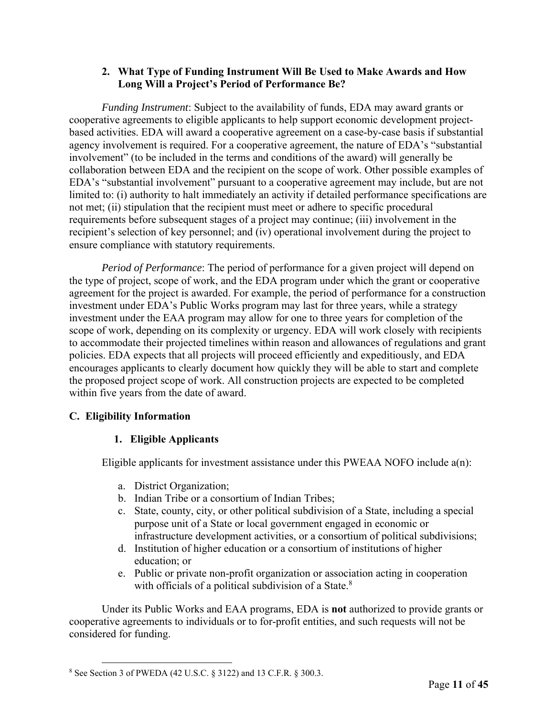# **2. What Type of Funding Instrument Will Be Used to Make Awards and How Long Will a Project's Period of Performance Be?**

*Funding Instrument*: Subject to the availability of funds, EDA may award grants or cooperative agreements to eligible applicants to help support economic development projectbased activities. EDA will award a cooperative agreement on a case-by-case basis if substantial agency involvement is required. For a cooperative agreement, the nature of EDA's "substantial involvement" (to be included in the terms and conditions of the award) will generally be collaboration between EDA and the recipient on the scope of work. Other possible examples of EDA's "substantial involvement" pursuant to a cooperative agreement may include, but are not limited to: (i) authority to halt immediately an activity if detailed performance specifications are not met; (ii) stipulation that the recipient must meet or adhere to specific procedural requirements before subsequent stages of a project may continue; (iii) involvement in the recipient's selection of key personnel; and (iv) operational involvement during the project to ensure compliance with statutory requirements.

*Period of Performance*: The period of performance for a given project will depend on the type of project, scope of work, and the EDA program under which the grant or cooperative agreement for the project is awarded. For example, the period of performance for a construction investment under EDA's Public Works program may last for three years, while a strategy investment under the EAA program may allow for one to three years for completion of the scope of work, depending on its complexity or urgency. EDA will work closely with recipients to accommodate their projected timelines within reason and allowances of regulations and grant policies. EDA expects that all projects will proceed efficiently and expeditiously, and EDA encourages applicants to clearly document how quickly they will be able to start and complete the proposed project scope of work. All construction projects are expected to be completed within five years from the date of award.

# **C. Eligibility Information**

# **1. Eligible Applicants**

Eligible applicants for investment assistance under this PWEAA NOFO include a(n):

- a. District Organization;
- b. Indian Tribe or a consortium of Indian Tribes;
- c. State, county, city, or other political subdivision of a State, including a special purpose unit of a State or local government engaged in economic or infrastructure development activities, or a consortium of political subdivisions;
- d. Institution of higher education or a consortium of institutions of higher education; or
- e. Public or private non-profit organization or association acting in cooperation with officials of a political subdivision of a State. $8$

Under its Public Works and EAA programs, EDA is **not** authorized to provide grants or cooperative agreements to individuals or to for-profit entities, and such requests will not be considered for funding.

<sup>8</sup> See Section 3 of PWEDA (42 U.S.C. § 3122) and 13 C.F.R. § 300.3.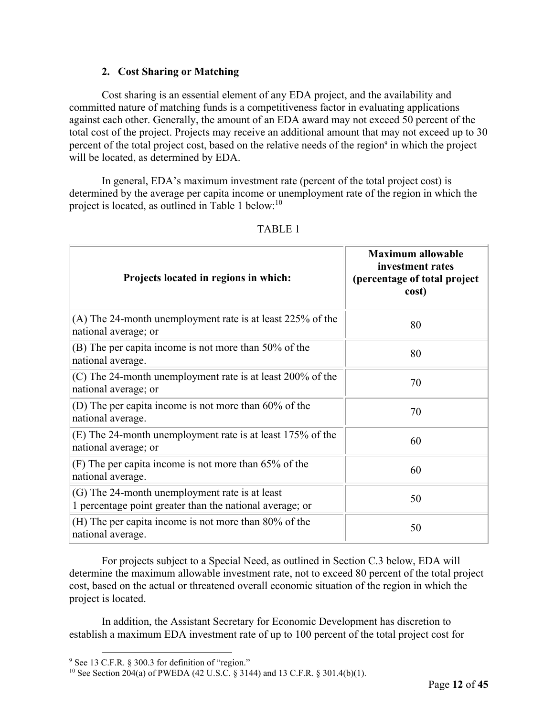# **2. Cost Sharing or Matching**

Cost sharing is an essential element of any EDA project, and the availability and committed nature of matching funds is a competitiveness factor in evaluating applications against each other. Generally, the amount of an EDA award may not exceed 50 percent of the total cost of the project. Projects may receive an additional amount that may not exceed up to 30 percent of the total project cost, based on the relative needs of the region<sup>9</sup> in which the project will be located, as determined by EDA.

In general, EDA's maximum investment rate (percent of the total project cost) is determined by the average per capita income or unemployment rate of the region in which the project is located, as outlined in Table 1 below:<sup>10</sup>

| Projects located in regions in which:                                                                      | <b>Maximum allowable</b><br>investment rates<br>(percentage of total project<br>cost) |
|------------------------------------------------------------------------------------------------------------|---------------------------------------------------------------------------------------|
| (A) The 24-month unemployment rate is at least 225% of the<br>national average; or                         | 80                                                                                    |
| (B) The per capita income is not more than 50% of the<br>national average.                                 | 80                                                                                    |
| (C) The 24-month unemployment rate is at least 200% of the<br>national average; or                         | 70                                                                                    |
| (D) The per capita income is not more than $60\%$ of the<br>national average.                              | 70                                                                                    |
| (E) The 24-month unemployment rate is at least 175% of the<br>national average; or                         | 60                                                                                    |
| $(F)$ The per capita income is not more than 65% of the<br>national average.                               | 60                                                                                    |
| (G) The 24-month unemployment rate is at least<br>1 percentage point greater than the national average; or | 50                                                                                    |
| (H) The per capita income is not more than 80% of the<br>national average.                                 | 50                                                                                    |

#### TABLE 1

For projects subject to a Special Need, as outlined in Section C.3 below, EDA will determine the maximum allowable investment rate, not to exceed 80 percent of the total project cost, based on the actual or threatened overall economic situation of the region in which the project is located.

In addition, the Assistant Secretary for Economic Development has discretion to establish a maximum EDA investment rate of up to 100 percent of the total project cost for

<sup>&</sup>lt;sup>9</sup> See 13 C.F.R. § 300.3 for definition of "region."

<sup>&</sup>lt;sup>10</sup> See Section  $204(a)$  of PWEDA (42 U.S.C. § 3144) and 13 C.F.R. § 301.4(b)(1).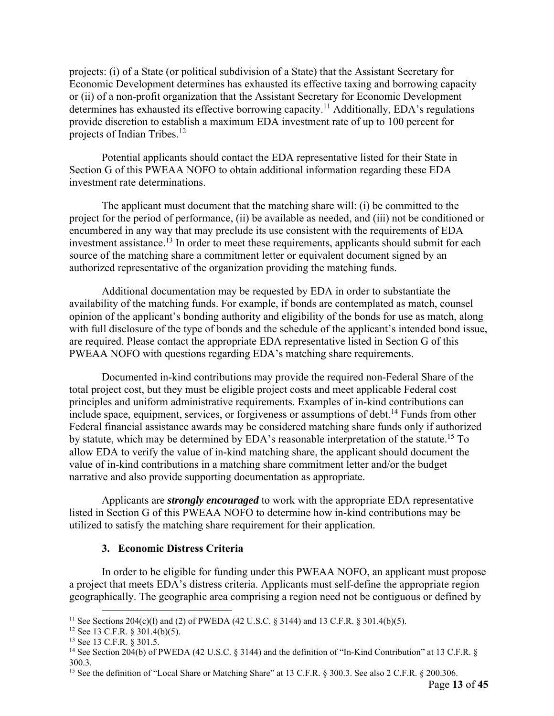projects: (i) of a State (or political subdivision of a State) that the Assistant Secretary for Economic Development determines has exhausted its effective taxing and borrowing capacity or (ii) of a non-profit organization that the Assistant Secretary for Economic Development determines has exhausted its effective borrowing capacity.<sup>11</sup> Additionally, EDA's regulations provide discretion to establish a maximum EDA investment rate of up to 100 percent for projects of Indian Tribes.<sup>12</sup>

Potential applicants should contact the EDA representative listed for their State in Section G of this PWEAA NOFO to obtain additional information regarding these EDA investment rate determinations.

The applicant must document that the matching share will: (i) be committed to the project for the period of performance, (ii) be available as needed, and (iii) not be conditioned or encumbered in any way that may preclude its use consistent with the requirements of EDA investment assistance.<sup>13</sup> In order to meet these requirements, applicants should submit for each source of the matching share a commitment letter or equivalent document signed by an authorized representative of the organization providing the matching funds.

Additional documentation may be requested by EDA in order to substantiate the availability of the matching funds. For example, if bonds are contemplated as match, counsel opinion of the applicant's bonding authority and eligibility of the bonds for use as match, along with full disclosure of the type of bonds and the schedule of the applicant's intended bond issue, are required. Please contact the appropriate EDA representative listed in Section G of this PWEAA NOFO with questions regarding EDA's matching share requirements.

Documented in-kind contributions may provide the required non-Federal Share of the total project cost, but they must be eligible project costs and meet applicable Federal cost principles and uniform administrative requirements. Examples of in-kind contributions can include space, equipment, services, or forgiveness or assumptions of debt.<sup>14</sup> Funds from other Federal financial assistance awards may be considered matching share funds only if authorized by statute, which may be determined by EDA's reasonable interpretation of the statute.<sup>15</sup> To allow EDA to verify the value of in-kind matching share, the applicant should document the value of in-kind contributions in a matching share commitment letter and/or the budget narrative and also provide supporting documentation as appropriate.

Applicants are *strongly encouraged* to work with the appropriate EDA representative listed in Section G of this PWEAA NOFO to determine how in-kind contributions may be utilized to satisfy the matching share requirement for their application.

# **3. Economic Distress Criteria**

In order to be eligible for funding under this PWEAA NOFO, an applicant must propose a project that meets EDA's distress criteria. Applicants must self-define the appropriate region geographically. The geographic area comprising a region need not be contiguous or defined by

<sup>&</sup>lt;sup>11</sup> See Sections 204(c)(l) and (2) of PWEDA (42 U.S.C. § 3144) and 13 C.F.R. § 301.4(b)(5). <sup>12</sup> See 13 C.F.R. § 301.4(b)(5).

<sup>&</sup>lt;sup>13</sup> See 13 C.F.R. § 301.5.

<sup>&</sup>lt;sup>14</sup> See Section 204(b) of PWEDA (42 U.S.C. § 3144) and the definition of "In-Kind Contribution" at 13 C.F.R. § 300.3.

<sup>&</sup>lt;sup>15</sup> See the definition of "Local Share or Matching Share" at 13 C.F.R. § 300.3. See also 2 C.F.R. § 200.306.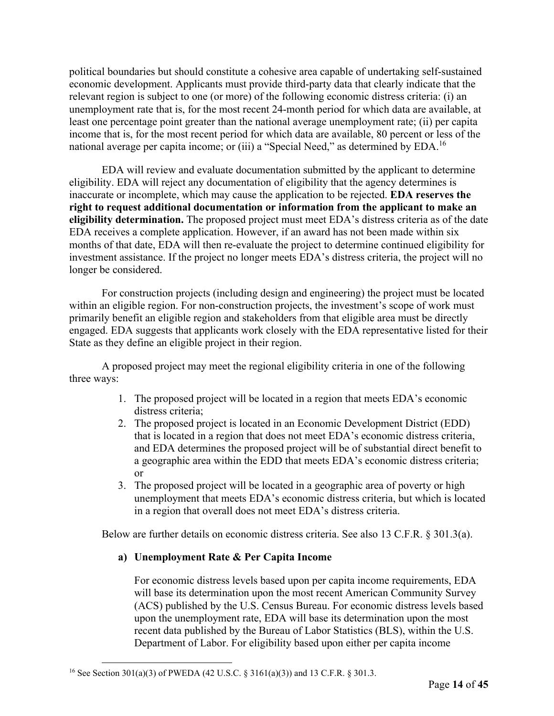political boundaries but should constitute a cohesive area capable of undertaking self-sustained economic development. Applicants must provide third-party data that clearly indicate that the relevant region is subject to one (or more) of the following economic distress criteria: (i) an unemployment rate that is, for the most recent 24-month period for which data are available, at least one percentage point greater than the national average unemployment rate; (ii) per capita income that is, for the most recent period for which data are available, 80 percent or less of the national average per capita income; or (iii) a "Special Need," as determined by EDA.16

EDA will review and evaluate documentation submitted by the applicant to determine eligibility. EDA will reject any documentation of eligibility that the agency determines is inaccurate or incomplete, which may cause the application to be rejected. **EDA reserves the right to request additional documentation or information from the applicant to make an eligibility determination.** The proposed project must meet EDA's distress criteria as of the date EDA receives a complete application. However, if an award has not been made within six months of that date, EDA will then re-evaluate the project to determine continued eligibility for investment assistance. If the project no longer meets EDA's distress criteria, the project will no longer be considered.

For construction projects (including design and engineering) the project must be located within an eligible region. For non-construction projects, the investment's scope of work must primarily benefit an eligible region and stakeholders from that eligible area must be directly engaged. EDA suggests that applicants work closely with the EDA representative listed for their State as they define an eligible project in their region.

A proposed project may meet the regional eligibility criteria in one of the following three ways:

- 1. The proposed project will be located in a region that meets EDA's economic distress criteria;
- 2. The proposed project is located in an Economic Development District (EDD) that is located in a region that does not meet EDA's economic distress criteria, and EDA determines the proposed project will be of substantial direct benefit to a geographic area within the EDD that meets EDA's economic distress criteria; or
- 3. The proposed project will be located in a geographic area of poverty or high unemployment that meets EDA's economic distress criteria, but which is located in a region that overall does not meet EDA's distress criteria.

Below are further details on economic distress criteria. See also 13 C.F.R. § 301.3(a).

# **a) Unemployment Rate & Per Capita Income**

For economic distress levels based upon per capita income requirements, EDA will base its determination upon the most recent American Community Survey (ACS) published by the U.S. Census Bureau. For economic distress levels based upon the unemployment rate, EDA will base its determination upon the most recent data published by the Bureau of Labor Statistics (BLS), within the U.S. Department of Labor. For eligibility based upon either per capita income

<sup>16</sup> See Section 301(a)(3) of PWEDA (42 U.S.C. § 3161(a)(3)) and 13 C.F.R. § 301.3.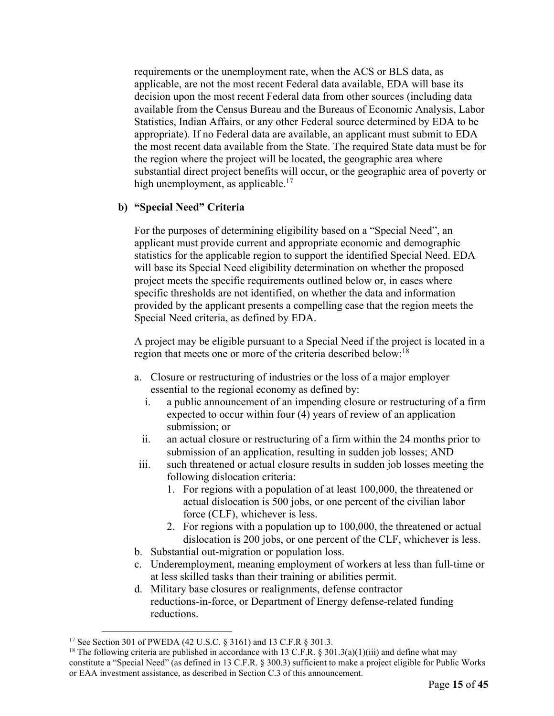requirements or the unemployment rate, when the ACS or BLS data, as applicable, are not the most recent Federal data available, EDA will base its decision upon the most recent Federal data from other sources (including data available from the Census Bureau and the Bureaus of Economic Analysis, Labor Statistics, Indian Affairs, or any other Federal source determined by EDA to be appropriate). If no Federal data are available, an applicant must submit to EDA the most recent data available from the State. The required State data must be for the region where the project will be located, the geographic area where substantial direct project benefits will occur, or the geographic area of poverty or high unemployment, as applicable.<sup>17</sup>

# **b) "Special Need" Criteria**

For the purposes of determining eligibility based on a "Special Need", an applicant must provide current and appropriate economic and demographic statistics for the applicable region to support the identified Special Need. EDA will base its Special Need eligibility determination on whether the proposed project meets the specific requirements outlined below or, in cases where specific thresholds are not identified, on whether the data and information provided by the applicant presents a compelling case that the region meets the Special Need criteria, as defined by EDA.

A project may be eligible pursuant to a Special Need if the project is located in a region that meets one or more of the criteria described below:<sup>18</sup>

- a. Closure or restructuring of industries or the loss of a major employer essential to the regional economy as defined by:
	- i. a public announcement of an impending closure or restructuring of a firm expected to occur within four (4) years of review of an application submission; or
	- ii. an actual closure or restructuring of a firm within the 24 months prior to submission of an application, resulting in sudden job losses; AND
- iii. such threatened or actual closure results in sudden job losses meeting the following dislocation criteria:
	- 1. For regions with a population of at least 100,000, the threatened or actual dislocation is 500 jobs, or one percent of the civilian labor force (CLF), whichever is less.
	- 2. For regions with a population up to 100,000, the threatened or actual dislocation is 200 jobs, or one percent of the CLF, whichever is less.
- b. Substantial out-migration or population loss.
- c. Underemployment, meaning employment of workers at less than full-time or at less skilled tasks than their training or abilities permit.
- d. Military base closures or realignments, defense contractor reductions-in-force, or Department of Energy defense-related funding reductions.

<sup>17</sup> See Section 301 of PWEDA (42 U.S.C. § 3161) and 13 C.F.R § 301.3.

<sup>&</sup>lt;sup>18</sup> The following criteria are published in accordance with 13 C.F.R. § 301.3(a)(1)(iii) and define what may constitute a "Special Need" (as defined in 13 C.F.R. § 300.3) sufficient to make a project eligible for Public Works or EAA investment assistance, as described in Section C.3 of this announcement.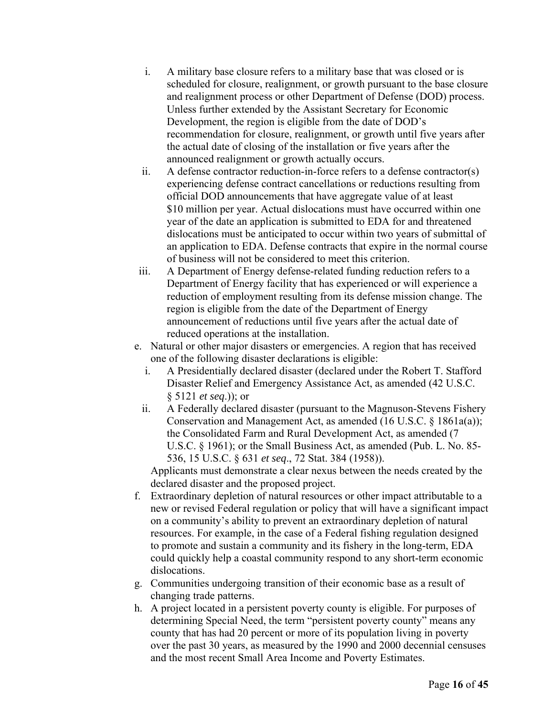- i. A military base closure refers to a military base that was closed or is scheduled for closure, realignment, or growth pursuant to the base closure and realignment process or other Department of Defense (DOD) process. Unless further extended by the Assistant Secretary for Economic Development, the region is eligible from the date of DOD's recommendation for closure, realignment, or growth until five years after the actual date of closing of the installation or five years after the announced realignment or growth actually occurs.
- ii. A defense contractor reduction-in-force refers to a defense contractor(s) experiencing defense contract cancellations or reductions resulting from official DOD announcements that have aggregate value of at least \$10 million per year. Actual dislocations must have occurred within one year of the date an application is submitted to EDA for and threatened dislocations must be anticipated to occur within two years of submittal of an application to EDA. Defense contracts that expire in the normal course of business will not be considered to meet this criterion.
- iii. A Department of Energy defense-related funding reduction refers to a Department of Energy facility that has experienced or will experience a reduction of employment resulting from its defense mission change. The region is eligible from the date of the Department of Energy announcement of reductions until five years after the actual date of reduced operations at the installation.
- e. Natural or other major disasters or emergencies. A region that has received one of the following disaster declarations is eligible:
	- i. A Presidentially declared disaster (declared under the Robert T. Stafford Disaster Relief and Emergency Assistance Act, as amended (42 U.S.C. § 5121 *et seq*.)); or
	- ii. A Federally declared disaster (pursuant to the Magnuson-Stevens Fishery Conservation and Management Act, as amended (16 U.S.C. § 1861a(a)); the Consolidated Farm and Rural Development Act, as amended (7 U.S.C. § 1961); or the Small Business Act, as amended (Pub. L. No. 85- 536, 15 U.S.C. § 631 *et seq*., 72 Stat. 384 (1958)).

Applicants must demonstrate a clear nexus between the needs created by the declared disaster and the proposed project.

- f. Extraordinary depletion of natural resources or other impact attributable to a new or revised Federal regulation or policy that will have a significant impact on a community's ability to prevent an extraordinary depletion of natural resources. For example, in the case of a Federal fishing regulation designed to promote and sustain a community and its fishery in the long-term, EDA could quickly help a coastal community respond to any short-term economic dislocations.
- g. Communities undergoing transition of their economic base as a result of changing trade patterns.
- h. A project located in a persistent poverty county is eligible. For purposes of determining Special Need, the term "persistent poverty county" means any county that has had 20 percent or more of its population living in poverty over the past 30 years, as measured by the 1990 and 2000 decennial censuses and the most recent Small Area Income and Poverty Estimates.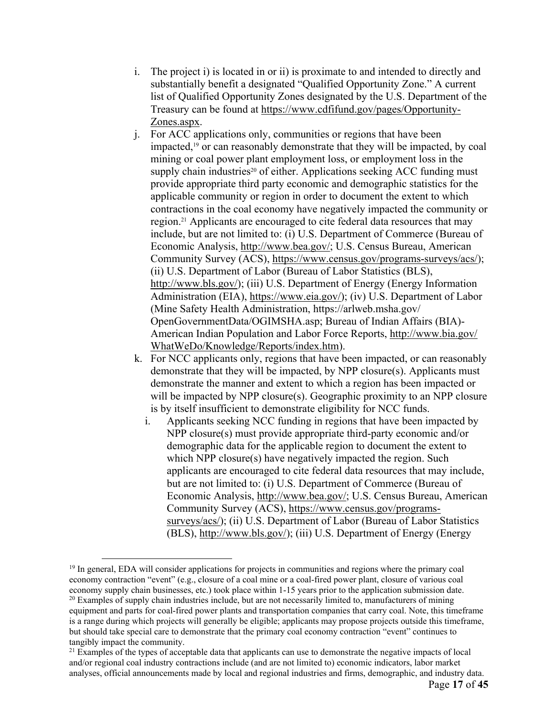- i. The project i) is located in or ii) is proximate to and intended to directly and substantially benefit a designated "Qualified Opportunity Zone." A current list of Qualified Opportunity Zones designated by the U.S. Department of the Treasury can be found at https://www.cdfifund.gov/pages/Opportunity-Zones.aspx.
- j. For ACC applications only, communities or regions that have been impacted,19 or can reasonably demonstrate that they will be impacted, by coal mining or coal power plant employment loss, or employment loss in the supply chain industries<sup>20</sup> of either. Applications seeking ACC funding must provide appropriate third party economic and demographic statistics for the applicable community or region in order to document the extent to which contractions in the coal economy have negatively impacted the community or region.21 Applicants are encouraged to cite federal data resources that may include, but are not limited to: (i) U.S. Department of Commerce (Bureau of Economic Analysis, http://www.bea.gov/; U.S. Census Bureau, American Community Survey (ACS), https://www.census.gov/programs-surveys/acs/); (ii) U.S. Department of Labor (Bureau of Labor Statistics (BLS), http://www.bls.gov/); (iii) U.S. Department of Energy (Energy Information Administration (EIA), https://www.eia.gov/); (iv) U.S. Department of Labor (Mine Safety Health Administration, https://arlweb.msha.gov/ OpenGovernmentData/OGIMSHA.asp; Bureau of Indian Affairs (BIA)- American Indian Population and Labor Force Reports, http://www.bia.gov/ WhatWeDo/Knowledge/Reports/index.htm).
- k. For NCC applicants only, regions that have been impacted, or can reasonably demonstrate that they will be impacted, by NPP closure(s). Applicants must demonstrate the manner and extent to which a region has been impacted or will be impacted by NPP closure(s). Geographic proximity to an NPP closure is by itself insufficient to demonstrate eligibility for NCC funds.
	- i. Applicants seeking NCC funding in regions that have been impacted by NPP closure(s) must provide appropriate third-party economic and/or demographic data for the applicable region to document the extent to which NPP closure(s) have negatively impacted the region. Such applicants are encouraged to cite federal data resources that may include, but are not limited to: (i) U.S. Department of Commerce (Bureau of Economic Analysis, http://www.bea.gov/; U.S. Census Bureau, American Community Survey (ACS), https://www.census.gov/programssurveys/acs/); (ii) U.S. Department of Labor (Bureau of Labor Statistics (BLS), http://www.bls.gov/); (iii) U.S. Department of Energy (Energy

<sup>&</sup>lt;sup>19</sup> In general, EDA will consider applications for projects in communities and regions where the primary coal economy contraction "event" (e.g., closure of a coal mine or a coal-fired power plant, closure of various coal economy supply chain businesses, etc.) took place within 1-15 years prior to the application submission date.

 $20$  Examples of supply chain industries include, but are not necessarily limited to, manufacturers of mining equipment and parts for coal-fired power plants and transportation companies that carry coal. Note, this timeframe is a range during which projects will generally be eligible; applicants may propose projects outside this timeframe, but should take special care to demonstrate that the primary coal economy contraction "event" continues to tangibly impact the community.

<sup>&</sup>lt;sup>21</sup> Examples of the types of acceptable data that applicants can use to demonstrate the negative impacts of local and/or regional coal industry contractions include (and are not limited to) economic indicators, labor market analyses, official announcements made by local and regional industries and firms, demographic, and industry data.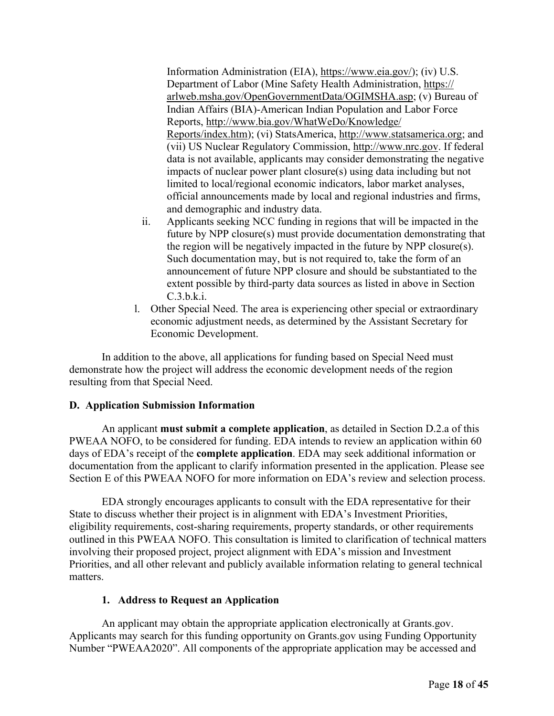Information Administration (EIA), https://www.eia.gov/); (iv) U.S. Department of Labor (Mine Safety Health Administration, https:// arlweb.msha.gov/OpenGovernmentData/OGIMSHA.asp; (v) Bureau of Indian Affairs (BIA)-American Indian Population and Labor Force Reports, http://www.bia.gov/WhatWeDo/Knowledge/ Reports/index.htm); (vi) StatsAmerica, http://www.statsamerica.org; and (vii) US Nuclear Regulatory Commission, http://www.nrc.gov. If federal data is not available, applicants may consider demonstrating the negative impacts of nuclear power plant closure(s) using data including but not limited to local/regional economic indicators, labor market analyses, official announcements made by local and regional industries and firms, and demographic and industry data.

- ii. Applicants seeking NCC funding in regions that will be impacted in the future by NPP closure(s) must provide documentation demonstrating that the region will be negatively impacted in the future by NPP closure(s). Such documentation may, but is not required to, take the form of an announcement of future NPP closure and should be substantiated to the extent possible by third-party data sources as listed in above in Section C.3.b.k.i.
- l. Other Special Need. The area is experiencing other special or extraordinary economic adjustment needs, as determined by the Assistant Secretary for Economic Development.

In addition to the above, all applications for funding based on Special Need must demonstrate how the project will address the economic development needs of the region resulting from that Special Need.

# **D. Application Submission Information**

An applicant **must submit a complete application**, as detailed in Section D.2.a of this PWEAA NOFO, to be considered for funding. EDA intends to review an application within 60 days of EDA's receipt of the **complete application**. EDA may seek additional information or documentation from the applicant to clarify information presented in the application. Please see Section E of this PWEAA NOFO for more information on EDA's review and selection process.

EDA strongly encourages applicants to consult with the EDA representative for their State to discuss whether their project is in alignment with EDA's Investment Priorities, eligibility requirements, cost-sharing requirements, property standards, or other requirements outlined in this PWEAA NOFO. This consultation is limited to clarification of technical matters involving their proposed project, project alignment with EDA's mission and Investment Priorities, and all other relevant and publicly available information relating to general technical matters.

# **1. Address to Request an Application**

An applicant may obtain the appropriate application electronically at Grants.gov. Applicants may search for this funding opportunity on Grants.gov using Funding Opportunity Number "PWEAA2020". All components of the appropriate application may be accessed and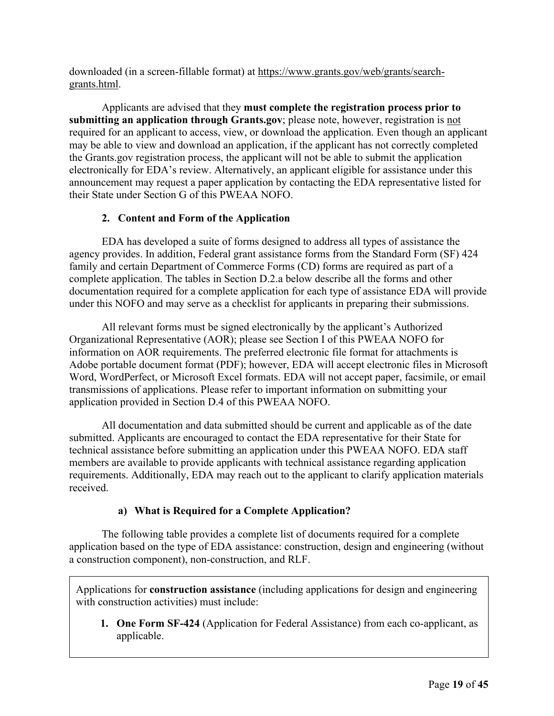downloaded (in a screen-fillable format) at https://www.grants.gov/web/grants/searchgrants.html.

Applicants are advised that they **must complete the registration process prior to submitting an application through Grants.gov**; please note, however, registration is not required for an applicant to access, view, or download the application. Even though an applicant may be able to view and download an application, if the applicant has not correctly completed the Grants.gov registration process, the applicant will not be able to submit the application electronically for EDA's review. Alternatively, an applicant eligible for assistance under this announcement may request a paper application by contacting the EDA representative listed for their State under Section G of this PWEAA NOFO.

# **2. Content and Form of the Application**

EDA has developed a suite of forms designed to address all types of assistance the agency provides. In addition, Federal grant assistance forms from the Standard Form (SF) 424 family and certain Department of Commerce Forms (CD) forms are required as part of a complete application. The tables in Section D.2.a below describe all the forms and other documentation required for a complete application for each type of assistance EDA will provide under this NOFO and may serve as a checklist for applicants in preparing their submissions.

All relevant forms must be signed electronically by the applicant's Authorized Organizational Representative (AOR); please see Section I of this PWEAA NOFO for information on AOR requirements. The preferred electronic file format for attachments is Adobe portable document format (PDF); however, EDA will accept electronic files in Microsoft Word, WordPerfect, or Microsoft Excel formats. EDA will not accept paper, facsimile, or email transmissions of applications. Please refer to important information on submitting your application provided in Section D.4 of this PWEAA NOFO.

All documentation and data submitted should be current and applicable as of the date submitted. Applicants are encouraged to contact the EDA representative for their State for technical assistance before submitting an application under this PWEAA NOFO. EDA staff members are available to provide applicants with technical assistance regarding application requirements. Additionally, EDA may reach out to the applicant to clarify application materials received.

# **a) What is Required for a Complete Application?**

The following table provides a complete list of documents required for a complete application based on the type of EDA assistance: construction, design and engineering (without a construction component), non-construction, and RLF.

Applications for **construction assistance** (including applications for design and engineering with construction activities) must include:

**1. One Form SF-424** (Application for Federal Assistance) from each co-applicant, as applicable.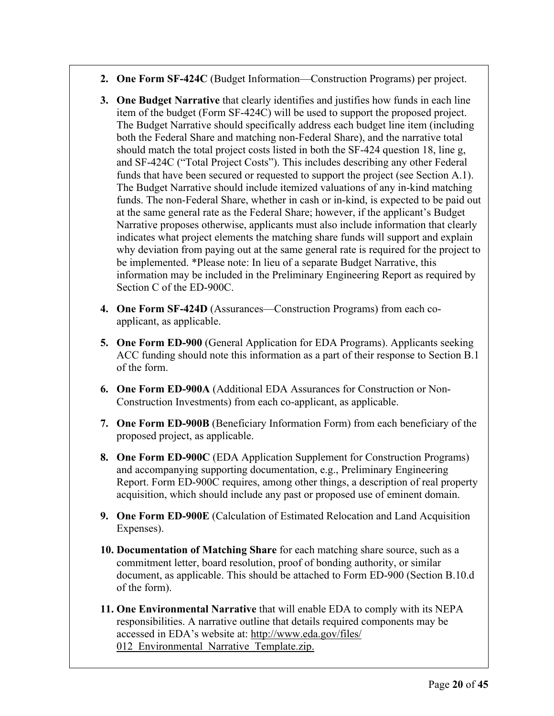- **2. One Form SF-424C** (Budget Information—Construction Programs) per project.
- **3. One Budget Narrative** that clearly identifies and justifies how funds in each line item of the budget (Form SF-424C) will be used to support the proposed project. The Budget Narrative should specifically address each budget line item (including both the Federal Share and matching non-Federal Share), and the narrative total should match the total project costs listed in both the SF-424 question 18, line g, and SF-424C ("Total Project Costs"). This includes describing any other Federal funds that have been secured or requested to support the project (see Section A.1). The Budget Narrative should include itemized valuations of any in-kind matching funds. The non-Federal Share, whether in cash or in-kind, is expected to be paid out at the same general rate as the Federal Share; however, if the applicant's Budget Narrative proposes otherwise, applicants must also include information that clearly indicates what project elements the matching share funds will support and explain why deviation from paying out at the same general rate is required for the project to be implemented. \*Please note: In lieu of a separate Budget Narrative, this information may be included in the Preliminary Engineering Report as required by Section C of the ED-900C.
- **4. One Form SF-424D** (Assurances—Construction Programs) from each coapplicant, as applicable.
- **5. One Form ED-900** (General Application for EDA Programs). Applicants seeking ACC funding should note this information as a part of their response to Section B.1 of the form.
- **6. One Form ED-900A** (Additional EDA Assurances for Construction or Non-Construction Investments) from each co-applicant, as applicable.
- **7. One Form ED-900B** (Beneficiary Information Form) from each beneficiary of the proposed project, as applicable.
- **8. One Form ED-900C** (EDA Application Supplement for Construction Programs) and accompanying supporting documentation, e.g., Preliminary Engineering Report. Form ED-900C requires, among other things, a description of real property acquisition, which should include any past or proposed use of eminent domain.
- **9. One Form ED-900E** (Calculation of Estimated Relocation and Land Acquisition Expenses).
- **10. Documentation of Matching Share** for each matching share source, such as a commitment letter, board resolution, proof of bonding authority, or similar document, as applicable. This should be attached to Form ED-900 (Section B.10.d of the form).
- **11. One Environmental Narrative** that will enable EDA to comply with its NEPA responsibilities. A narrative outline that details required components may be accessed in EDA's website at: http://www.eda.gov/files/ 012 Environmental Narrative Template.zip.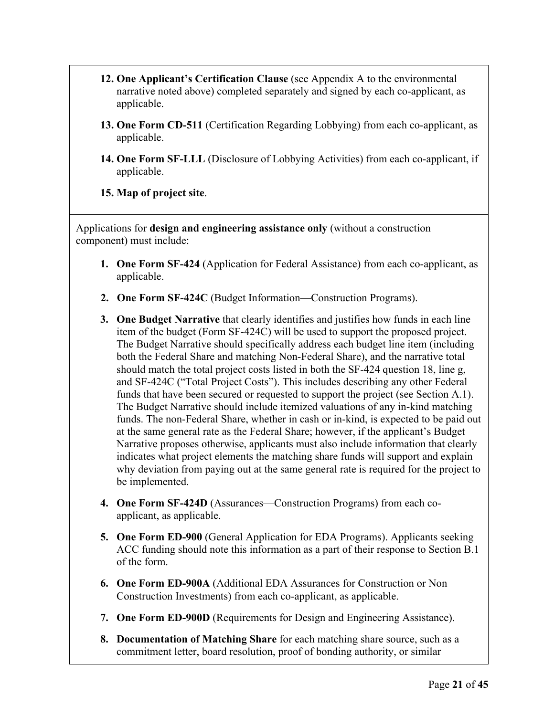- **12. One Applicant's Certification Clause** (see Appendix A to the environmental narrative noted above) completed separately and signed by each co-applicant, as applicable.
- **13. One Form CD-511** (Certification Regarding Lobbying) from each co-applicant, as applicable.
- **14. One Form SF-LLL** (Disclosure of Lobbying Activities) from each co-applicant, if applicable.
- **15. Map of project site**.

Applications for **design and engineering assistance only** (without a construction component) must include:

- **1. One Form SF-424** (Application for Federal Assistance) from each co-applicant, as applicable.
- **2. One Form SF-424C** (Budget Information—Construction Programs).
- **3. One Budget Narrative** that clearly identifies and justifies how funds in each line item of the budget (Form SF-424C) will be used to support the proposed project. The Budget Narrative should specifically address each budget line item (including both the Federal Share and matching Non-Federal Share), and the narrative total should match the total project costs listed in both the SF-424 question 18, line g, and SF-424C ("Total Project Costs"). This includes describing any other Federal funds that have been secured or requested to support the project (see Section A.1). The Budget Narrative should include itemized valuations of any in-kind matching funds. The non-Federal Share, whether in cash or in-kind, is expected to be paid out at the same general rate as the Federal Share; however, if the applicant's Budget Narrative proposes otherwise, applicants must also include information that clearly indicates what project elements the matching share funds will support and explain why deviation from paying out at the same general rate is required for the project to be implemented.
- **4. One Form SF-424D** (Assurances—Construction Programs) from each coapplicant, as applicable.
- **5. One Form ED-900** (General Application for EDA Programs). Applicants seeking ACC funding should note this information as a part of their response to Section B.1 of the form.
- **6. One Form ED-900A** (Additional EDA Assurances for Construction or Non— Construction Investments) from each co-applicant, as applicable.
- **7. One Form ED-900D** (Requirements for Design and Engineering Assistance).
- **8. Documentation of Matching Share** for each matching share source, such as a commitment letter, board resolution, proof of bonding authority, or similar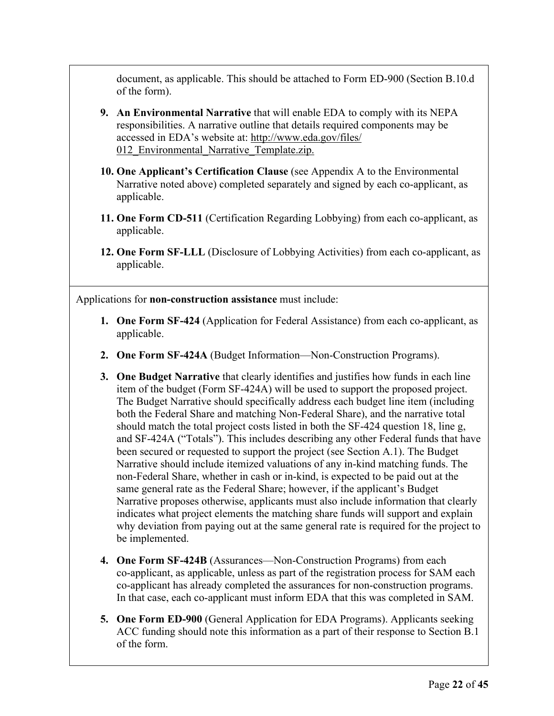document, as applicable. This should be attached to Form ED-900 (Section B.10.d of the form).

- **9. An Environmental Narrative** that will enable EDA to comply with its NEPA responsibilities. A narrative outline that details required components may be accessed in EDA's website at: http://www.eda.gov/files/ 012 Environmental Narrative Template.zip.
- **10. One Applicant's Certification Clause** (see Appendix A to the Environmental Narrative noted above) completed separately and signed by each co-applicant, as applicable.
- **11. One Form CD-511** (Certification Regarding Lobbying) from each co-applicant, as applicable.
- **12. One Form SF-LLL** (Disclosure of Lobbying Activities) from each co-applicant, as applicable.

Applications for **non-construction assistance** must include:

- **1. One Form SF-424** (Application for Federal Assistance) from each co-applicant, as applicable.
- **2. One Form SF-424A** (Budget Information—Non-Construction Programs).
- **3. One Budget Narrative** that clearly identifies and justifies how funds in each line item of the budget (Form SF-424A) will be used to support the proposed project. The Budget Narrative should specifically address each budget line item (including both the Federal Share and matching Non-Federal Share), and the narrative total should match the total project costs listed in both the SF-424 question 18, line g, and SF-424A ("Totals"). This includes describing any other Federal funds that have been secured or requested to support the project (see Section A.1). The Budget Narrative should include itemized valuations of any in-kind matching funds. The non-Federal Share, whether in cash or in-kind, is expected to be paid out at the same general rate as the Federal Share; however, if the applicant's Budget Narrative proposes otherwise, applicants must also include information that clearly indicates what project elements the matching share funds will support and explain why deviation from paying out at the same general rate is required for the project to be implemented.
- **4. One Form SF-424B** (Assurances—Non-Construction Programs) from each co-applicant, as applicable, unless as part of the registration process for SAM each co-applicant has already completed the assurances for non-construction programs. In that case, each co-applicant must inform EDA that this was completed in SAM.
- **5. One Form ED-900** (General Application for EDA Programs). Applicants seeking ACC funding should note this information as a part of their response to Section B.1 of the form.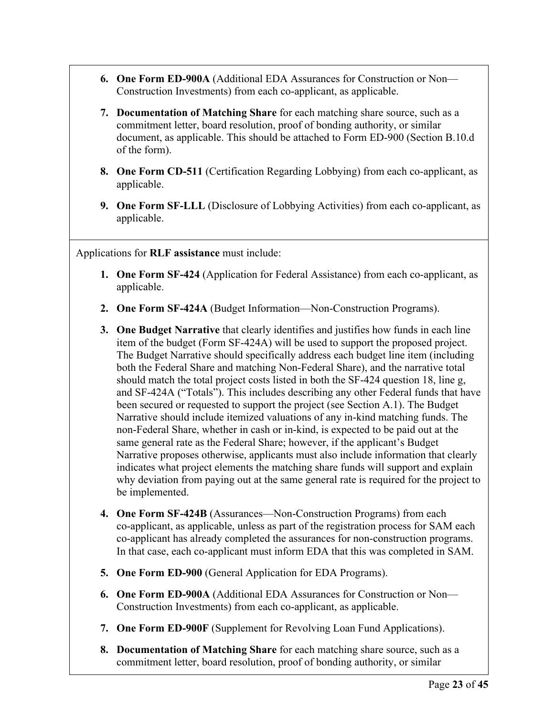- **6. One Form ED-900A** (Additional EDA Assurances for Construction or Non— Construction Investments) from each co-applicant, as applicable.
- **7. Documentation of Matching Share** for each matching share source, such as a commitment letter, board resolution, proof of bonding authority, or similar document, as applicable. This should be attached to Form ED-900 (Section B.10.d of the form).
- **8. One Form CD-511** (Certification Regarding Lobbying) from each co-applicant, as applicable.
- **9. One Form SF-LLL** (Disclosure of Lobbying Activities) from each co-applicant, as applicable.

Applications for **RLF assistance** must include:

- **1. One Form SF-424** (Application for Federal Assistance) from each co-applicant, as applicable.
- **2. One Form SF-424A** (Budget Information—Non-Construction Programs).
- **3. One Budget Narrative** that clearly identifies and justifies how funds in each line item of the budget (Form SF-424A) will be used to support the proposed project. The Budget Narrative should specifically address each budget line item (including both the Federal Share and matching Non-Federal Share), and the narrative total should match the total project costs listed in both the SF-424 question 18, line g, and SF-424A ("Totals"). This includes describing any other Federal funds that have been secured or requested to support the project (see Section A.1). The Budget Narrative should include itemized valuations of any in-kind matching funds. The non-Federal Share, whether in cash or in-kind, is expected to be paid out at the same general rate as the Federal Share; however, if the applicant's Budget Narrative proposes otherwise, applicants must also include information that clearly indicates what project elements the matching share funds will support and explain why deviation from paying out at the same general rate is required for the project to be implemented.
- **4. One Form SF-424B** (Assurances—Non-Construction Programs) from each co-applicant, as applicable, unless as part of the registration process for SAM each co-applicant has already completed the assurances for non-construction programs. In that case, each co-applicant must inform EDA that this was completed in SAM.
- **5. One Form ED-900** (General Application for EDA Programs).
- **6. One Form ED-900A** (Additional EDA Assurances for Construction or Non— Construction Investments) from each co-applicant, as applicable.
- **7. One Form ED-900F** (Supplement for Revolving Loan Fund Applications).
- **8. Documentation of Matching Share** for each matching share source, such as a commitment letter, board resolution, proof of bonding authority, or similar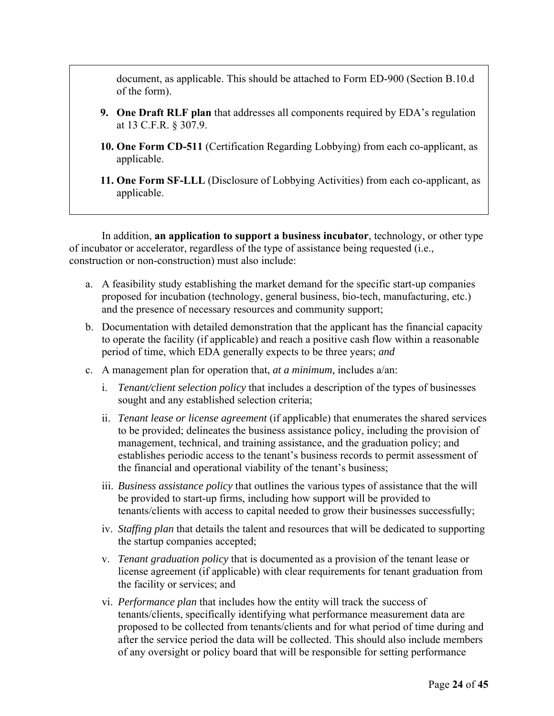document, as applicable. This should be attached to Form ED-900 (Section B.10.d of the form).

- **9. One Draft RLF plan** that addresses all components required by EDA's regulation at 13 C.F.R. § 307.9.
- **10. One Form CD-511** (Certification Regarding Lobbying) from each co-applicant, as applicable.
- **11. One Form SF-LLL** (Disclosure of Lobbying Activities) from each co-applicant, as applicable.

In addition, **an application to support a business incubator**, technology, or other type of incubator or accelerator, regardless of the type of assistance being requested (i.e., construction or non-construction) must also include:

- a. A feasibility study establishing the market demand for the specific start-up companies proposed for incubation (technology, general business, bio-tech, manufacturing, etc.) and the presence of necessary resources and community support;
- b. Documentation with detailed demonstration that the applicant has the financial capacity to operate the facility (if applicable) and reach a positive cash flow within a reasonable period of time, which EDA generally expects to be three years; *and*
- c. A management plan for operation that, *at a minimum,* includes a/an:
	- i. *Tenant/client selection policy* that includes a description of the types of businesses sought and any established selection criteria;
	- ii. *Tenant lease or license agreement* (if applicable) that enumerates the shared services to be provided; delineates the business assistance policy, including the provision of management, technical, and training assistance, and the graduation policy; and establishes periodic access to the tenant's business records to permit assessment of the financial and operational viability of the tenant's business;
	- iii. *Business assistance policy* that outlines the various types of assistance that the will be provided to start-up firms, including how support will be provided to tenants/clients with access to capital needed to grow their businesses successfully;
	- iv. *Staffing plan* that details the talent and resources that will be dedicated to supporting the startup companies accepted;
	- v. *Tenant graduation policy* that is documented as a provision of the tenant lease or license agreement (if applicable) with clear requirements for tenant graduation from the facility or services; and
	- vi. *Performance plan* that includes how the entity will track the success of tenants/clients, specifically identifying what performance measurement data are proposed to be collected from tenants/clients and for what period of time during and after the service period the data will be collected. This should also include members of any oversight or policy board that will be responsible for setting performance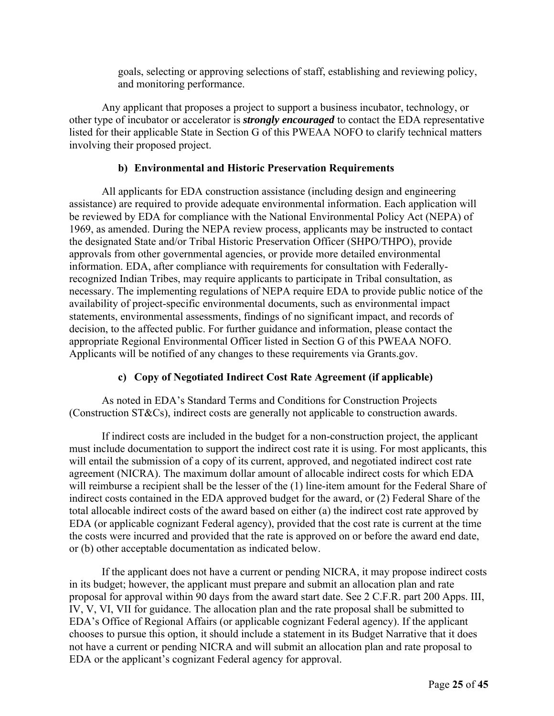goals, selecting or approving selections of staff, establishing and reviewing policy, and monitoring performance.

Any applicant that proposes a project to support a business incubator, technology, or other type of incubator or accelerator is *strongly encouraged* to contact the EDA representative listed for their applicable State in Section G of this PWEAA NOFO to clarify technical matters involving their proposed project.

# **b) Environmental and Historic Preservation Requirements**

All applicants for EDA construction assistance (including design and engineering assistance) are required to provide adequate environmental information. Each application will be reviewed by EDA for compliance with the National Environmental Policy Act (NEPA) of 1969, as amended. During the NEPA review process, applicants may be instructed to contact the designated State and/or Tribal Historic Preservation Officer (SHPO/THPO), provide approvals from other governmental agencies, or provide more detailed environmental information. EDA, after compliance with requirements for consultation with Federallyrecognized Indian Tribes, may require applicants to participate in Tribal consultation, as necessary. The implementing regulations of NEPA require EDA to provide public notice of the availability of project-specific environmental documents, such as environmental impact statements, environmental assessments, findings of no significant impact, and records of decision, to the affected public. For further guidance and information, please contact the appropriate Regional Environmental Officer listed in Section G of this PWEAA NOFO. Applicants will be notified of any changes to these requirements via Grants.gov.

# **c) Copy of Negotiated Indirect Cost Rate Agreement (if applicable)**

As noted in EDA's Standard Terms and Conditions for Construction Projects (Construction ST&Cs), indirect costs are generally not applicable to construction awards.

If indirect costs are included in the budget for a non-construction project, the applicant must include documentation to support the indirect cost rate it is using. For most applicants, this will entail the submission of a copy of its current, approved, and negotiated indirect cost rate agreement (NICRA). The maximum dollar amount of allocable indirect costs for which EDA will reimburse a recipient shall be the lesser of the  $(1)$  line-item amount for the Federal Share of indirect costs contained in the EDA approved budget for the award, or (2) Federal Share of the total allocable indirect costs of the award based on either (a) the indirect cost rate approved by EDA (or applicable cognizant Federal agency), provided that the cost rate is current at the time the costs were incurred and provided that the rate is approved on or before the award end date, or (b) other acceptable documentation as indicated below.

If the applicant does not have a current or pending NICRA, it may propose indirect costs in its budget; however, the applicant must prepare and submit an allocation plan and rate proposal for approval within 90 days from the award start date. See 2 C.F.R. part 200 Apps. III, IV, V, VI, VII for guidance. The allocation plan and the rate proposal shall be submitted to EDA's Office of Regional Affairs (or applicable cognizant Federal agency). If the applicant chooses to pursue this option, it should include a statement in its Budget Narrative that it does not have a current or pending NICRA and will submit an allocation plan and rate proposal to EDA or the applicant's cognizant Federal agency for approval.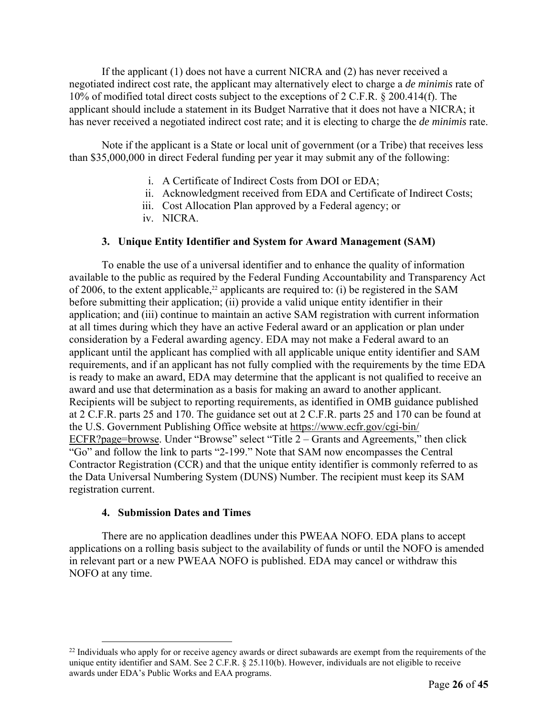If the applicant (1) does not have a current NICRA and (2) has never received a negotiated indirect cost rate, the applicant may alternatively elect to charge a *de minimis* rate of 10% of modified total direct costs subject to the exceptions of 2 C.F.R. § 200.414(f). The applicant should include a statement in its Budget Narrative that it does not have a NICRA; it has never received a negotiated indirect cost rate; and it is electing to charge the *de minimis* rate.

Note if the applicant is a State or local unit of government (or a Tribe) that receives less than \$35,000,000 in direct Federal funding per year it may submit any of the following:

- i. A Certificate of Indirect Costs from DOI or EDA;
- ii. Acknowledgment received from EDA and Certificate of Indirect Costs;
- iii. Cost Allocation Plan approved by a Federal agency; or
- iv. NICRA.

# **3. Unique Entity Identifier and System for Award Management (SAM)**

To enable the use of a universal identifier and to enhance the quality of information available to the public as required by the Federal Funding Accountability and Transparency Act of 2006, to the extent applicable,<sup>22</sup> applicants are required to: (i) be registered in the SAM before submitting their application; (ii) provide a valid unique entity identifier in their application; and (iii) continue to maintain an active SAM registration with current information at all times during which they have an active Federal award or an application or plan under consideration by a Federal awarding agency. EDA may not make a Federal award to an applicant until the applicant has complied with all applicable unique entity identifier and SAM requirements, and if an applicant has not fully complied with the requirements by the time EDA is ready to make an award, EDA may determine that the applicant is not qualified to receive an award and use that determination as a basis for making an award to another applicant. Recipients will be subject to reporting requirements, as identified in OMB guidance published at 2 C.F.R. parts 25 and 170. The guidance set out at 2 C.F.R. parts 25 and 170 can be found at the U.S. Government Publishing Office website at https://www.ecfr.gov/cgi-bin/ ECFR?page=browse. Under "Browse" select "Title 2 – Grants and Agreements," then click "Go" and follow the link to parts "2-199." Note that SAM now encompasses the Central Contractor Registration (CCR) and that the unique entity identifier is commonly referred to as the Data Universal Numbering System (DUNS) Number. The recipient must keep its SAM registration current.

# **4. Submission Dates and Times**

There are no application deadlines under this PWEAA NOFO. EDA plans to accept applications on a rolling basis subject to the availability of funds or until the NOFO is amended in relevant part or a new PWEAA NOFO is published. EDA may cancel or withdraw this NOFO at any time.

<sup>&</sup>lt;sup>22</sup> Individuals who apply for or receive agency awards or direct subawards are exempt from the requirements of the unique entity identifier and SAM. See 2 C.F.R. § 25.110(b). However, individuals are not eligible to receive awards under EDA's Public Works and EAA programs.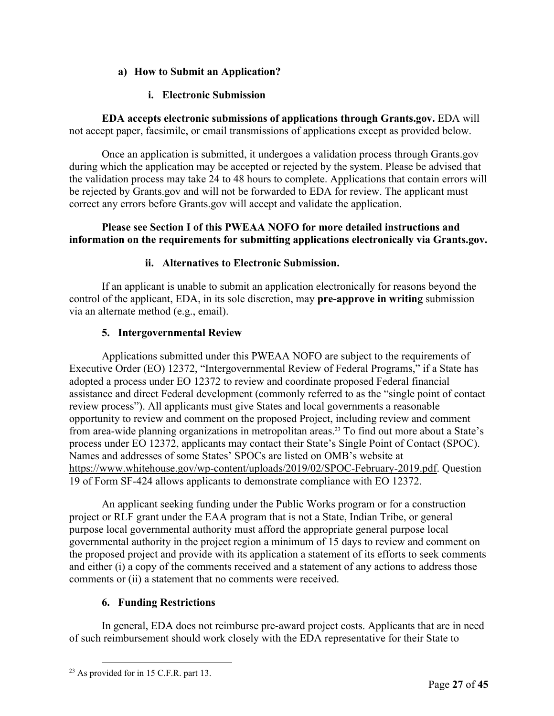# **a) How to Submit an Application?**

# **i. Electronic Submission**

**EDA accepts electronic submissions of applications through Grants.gov.** EDA will not accept paper, facsimile, or email transmissions of applications except as provided below.

Once an application is submitted, it undergoes a validation process through Grants.gov during which the application may be accepted or rejected by the system. Please be advised that the validation process may take 24 to 48 hours to complete. Applications that contain errors will be rejected by Grants.gov and will not be forwarded to EDA for review. The applicant must correct any errors before Grants.gov will accept and validate the application.

# **Please see Section I of this PWEAA NOFO for more detailed instructions and information on the requirements for submitting applications electronically via Grants.gov.**

# **ii. Alternatives to Electronic Submission.**

If an applicant is unable to submit an application electronically for reasons beyond the control of the applicant, EDA, in its sole discretion, may **pre-approve in writing** submission via an alternate method (e.g., email).

# **5. Intergovernmental Review**

Applications submitted under this PWEAA NOFO are subject to the requirements of Executive Order (EO) 12372, "Intergovernmental Review of Federal Programs," if a State has adopted a process under EO 12372 to review and coordinate proposed Federal financial assistance and direct Federal development (commonly referred to as the "single point of contact review process"). All applicants must give States and local governments a reasonable opportunity to review and comment on the proposed Project, including review and comment from area-wide planning organizations in metropolitan areas.<sup>23</sup> To find out more about a State's process under EO 12372, applicants may contact their State's Single Point of Contact (SPOC). Names and addresses of some States' SPOCs are listed on OMB's website at https://www.whitehouse.gov/wp-content/uploads/2019/02/SPOC-February-2019.pdf. Question 19 of Form SF-424 allows applicants to demonstrate compliance with EO 12372.

An applicant seeking funding under the Public Works program or for a construction project or RLF grant under the EAA program that is not a State, Indian Tribe, or general purpose local governmental authority must afford the appropriate general purpose local governmental authority in the project region a minimum of 15 days to review and comment on the proposed project and provide with its application a statement of its efforts to seek comments and either (i) a copy of the comments received and a statement of any actions to address those comments or (ii) a statement that no comments were received.

# **6. Funding Restrictions**

In general, EDA does not reimburse pre-award project costs. Applicants that are in need of such reimbursement should work closely with the EDA representative for their State to

 $23$  As provided for in 15 C.F.R. part 13.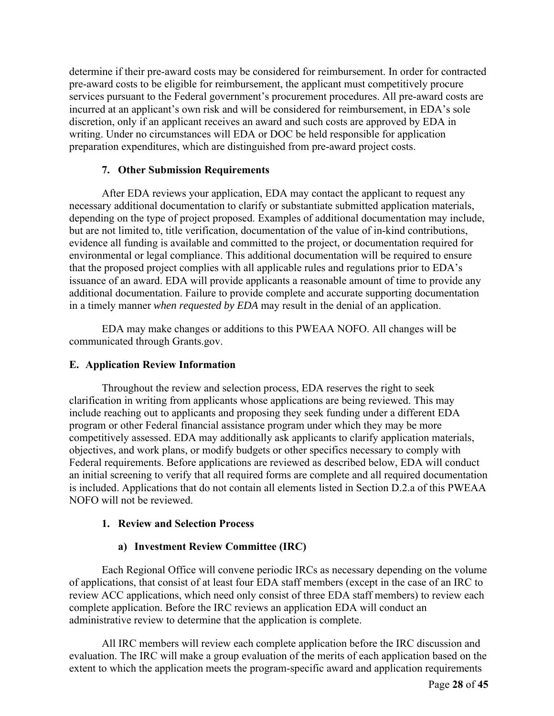determine if their pre-award costs may be considered for reimbursement. In order for contracted pre-award costs to be eligible for reimbursement, the applicant must competitively procure services pursuant to the Federal government's procurement procedures. All pre-award costs are incurred at an applicant's own risk and will be considered for reimbursement, in EDA's sole discretion, only if an applicant receives an award and such costs are approved by EDA in writing. Under no circumstances will EDA or DOC be held responsible for application preparation expenditures, which are distinguished from pre-award project costs.

# **7. Other Submission Requirements**

After EDA reviews your application, EDA may contact the applicant to request any necessary additional documentation to clarify or substantiate submitted application materials, depending on the type of project proposed. Examples of additional documentation may include, but are not limited to, title verification, documentation of the value of in-kind contributions, evidence all funding is available and committed to the project, or documentation required for environmental or legal compliance. This additional documentation will be required to ensure that the proposed project complies with all applicable rules and regulations prior to EDA's issuance of an award. EDA will provide applicants a reasonable amount of time to provide any additional documentation. Failure to provide complete and accurate supporting documentation in a timely manner *when requested by EDA* may result in the denial of an application.

EDA may make changes or additions to this PWEAA NOFO. All changes will be communicated through Grants.gov.

# **E. Application Review Information**

Throughout the review and selection process, EDA reserves the right to seek clarification in writing from applicants whose applications are being reviewed. This may include reaching out to applicants and proposing they seek funding under a different EDA program or other Federal financial assistance program under which they may be more competitively assessed. EDA may additionally ask applicants to clarify application materials, objectives, and work plans, or modify budgets or other specifics necessary to comply with Federal requirements. Before applications are reviewed as described below, EDA will conduct an initial screening to verify that all required forms are complete and all required documentation is included. Applications that do not contain all elements listed in Section D.2.a of this PWEAA NOFO will not be reviewed.

# **1. Review and Selection Process**

# **a) Investment Review Committee (IRC)**

Each Regional Office will convene periodic IRCs as necessary depending on the volume of applications, that consist of at least four EDA staff members (except in the case of an IRC to review ACC applications, which need only consist of three EDA staff members) to review each complete application. Before the IRC reviews an application EDA will conduct an administrative review to determine that the application is complete.

All IRC members will review each complete application before the IRC discussion and evaluation. The IRC will make a group evaluation of the merits of each application based on the extent to which the application meets the program-specific award and application requirements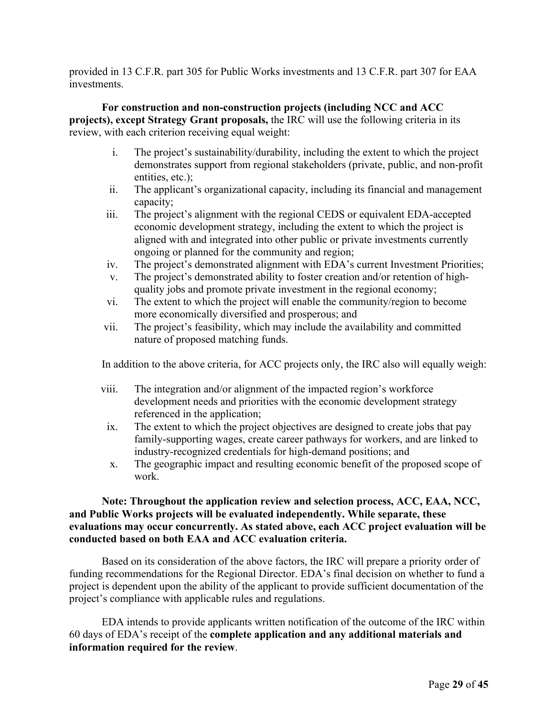provided in 13 C.F.R. part 305 for Public Works investments and 13 C.F.R. part 307 for EAA investments.

**For construction and non-construction projects (including NCC and ACC projects), except Strategy Grant proposals,** the IRC will use the following criteria in its review, with each criterion receiving equal weight:

- i. The project's sustainability/durability, including the extent to which the project demonstrates support from regional stakeholders (private, public, and non-profit entities, etc.);
- ii. The applicant's organizational capacity, including its financial and management capacity;
- iii. The project's alignment with the regional CEDS or equivalent EDA-accepted economic development strategy, including the extent to which the project is aligned with and integrated into other public or private investments currently ongoing or planned for the community and region;
- iv. The project's demonstrated alignment with EDA's current Investment Priorities;
- v. The project's demonstrated ability to foster creation and/or retention of highquality jobs and promote private investment in the regional economy;
- vi. The extent to which the project will enable the community/region to become more economically diversified and prosperous; and
- vii. The project's feasibility, which may include the availability and committed nature of proposed matching funds.

In addition to the above criteria, for ACC projects only, the IRC also will equally weigh:

- viii. The integration and/or alignment of the impacted region's workforce development needs and priorities with the economic development strategy referenced in the application;
	- ix. The extent to which the project objectives are designed to create jobs that pay family-supporting wages, create career pathways for workers, and are linked to industry-recognized credentials for high-demand positions; and
	- x. The geographic impact and resulting economic benefit of the proposed scope of work.

# **Note: Throughout the application review and selection process, ACC, EAA, NCC, and Public Works projects will be evaluated independently. While separate, these evaluations may occur concurrently. As stated above, each ACC project evaluation will be conducted based on both EAA and ACC evaluation criteria.**

Based on its consideration of the above factors, the IRC will prepare a priority order of funding recommendations for the Regional Director. EDA's final decision on whether to fund a project is dependent upon the ability of the applicant to provide sufficient documentation of the project's compliance with applicable rules and regulations.

EDA intends to provide applicants written notification of the outcome of the IRC within 60 days of EDA's receipt of the **complete application and any additional materials and information required for the review**.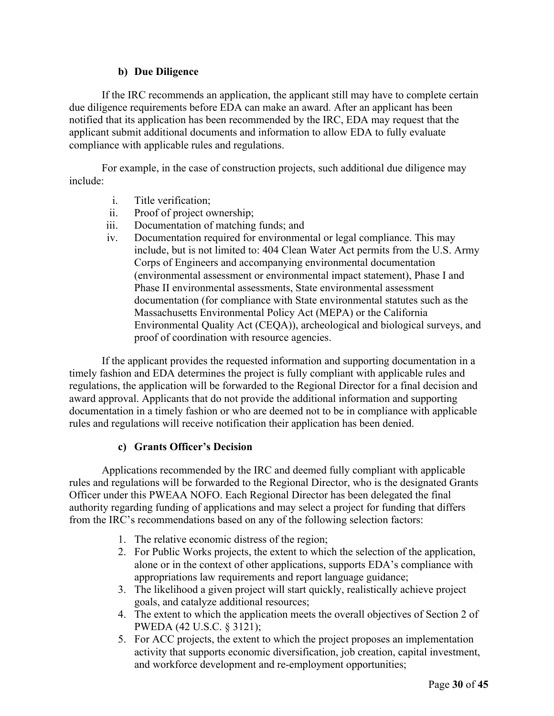# **b) Due Diligence**

If the IRC recommends an application, the applicant still may have to complete certain due diligence requirements before EDA can make an award. After an applicant has been notified that its application has been recommended by the IRC, EDA may request that the applicant submit additional documents and information to allow EDA to fully evaluate compliance with applicable rules and regulations.

For example, in the case of construction projects, such additional due diligence may include:

- i. Title verification;
- ii. Proof of project ownership;
- iii. Documentation of matching funds; and
- iv. Documentation required for environmental or legal compliance. This may include, but is not limited to: 404 Clean Water Act permits from the U.S. Army Corps of Engineers and accompanying environmental documentation (environmental assessment or environmental impact statement), Phase I and Phase II environmental assessments, State environmental assessment documentation (for compliance with State environmental statutes such as the Massachusetts Environmental Policy Act (MEPA) or the California Environmental Quality Act (CEQA)), archeological and biological surveys, and proof of coordination with resource agencies.

If the applicant provides the requested information and supporting documentation in a timely fashion and EDA determines the project is fully compliant with applicable rules and regulations, the application will be forwarded to the Regional Director for a final decision and award approval. Applicants that do not provide the additional information and supporting documentation in a timely fashion or who are deemed not to be in compliance with applicable rules and regulations will receive notification their application has been denied.

# **c) Grants Officer's Decision**

Applications recommended by the IRC and deemed fully compliant with applicable rules and regulations will be forwarded to the Regional Director, who is the designated Grants Officer under this PWEAA NOFO. Each Regional Director has been delegated the final authority regarding funding of applications and may select a project for funding that differs from the IRC's recommendations based on any of the following selection factors:

- 1. The relative economic distress of the region;
- 2. For Public Works projects, the extent to which the selection of the application, alone or in the context of other applications, supports EDA's compliance with appropriations law requirements and report language guidance;
- 3. The likelihood a given project will start quickly, realistically achieve project goals, and catalyze additional resources;
- 4. The extent to which the application meets the overall objectives of Section 2 of PWEDA (42 U.S.C. § 3121);
- 5. For ACC projects, the extent to which the project proposes an implementation activity that supports economic diversification, job creation, capital investment, and workforce development and re-employment opportunities;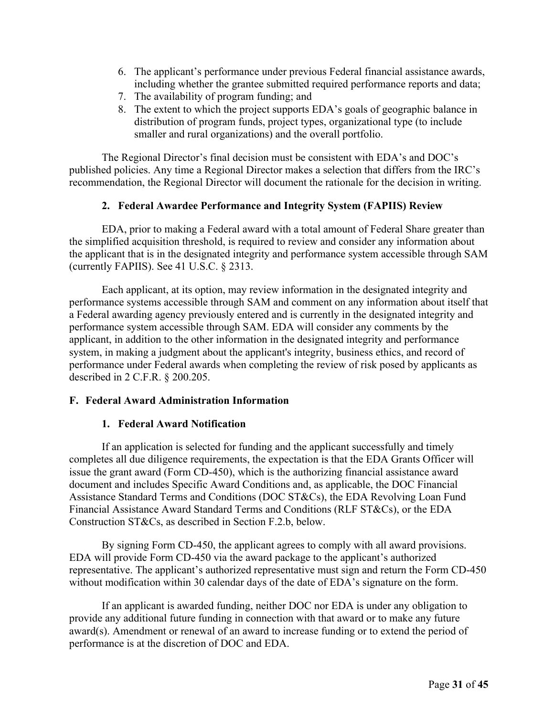- 6. The applicant's performance under previous Federal financial assistance awards, including whether the grantee submitted required performance reports and data;
- 7. The availability of program funding; and
- 8. The extent to which the project supports EDA's goals of geographic balance in distribution of program funds, project types, organizational type (to include smaller and rural organizations) and the overall portfolio.

The Regional Director's final decision must be consistent with EDA's and DOC's published policies. Any time a Regional Director makes a selection that differs from the IRC's recommendation, the Regional Director will document the rationale for the decision in writing.

# **2. Federal Awardee Performance and Integrity System (FAPIIS) Review**

EDA, prior to making a Federal award with a total amount of Federal Share greater than the simplified acquisition threshold, is required to review and consider any information about the applicant that is in the designated integrity and performance system accessible through SAM (currently FAPIIS). See 41 U.S.C. § 2313.

Each applicant, at its option, may review information in the designated integrity and performance systems accessible through SAM and comment on any information about itself that a Federal awarding agency previously entered and is currently in the designated integrity and performance system accessible through SAM. EDA will consider any comments by the applicant, in addition to the other information in the designated integrity and performance system, in making a judgment about the applicant's integrity, business ethics, and record of performance under Federal awards when completing the review of risk posed by applicants as described in 2 C.F.R. § 200.205.

# **F. Federal Award Administration Information**

# **1. Federal Award Notification**

If an application is selected for funding and the applicant successfully and timely completes all due diligence requirements, the expectation is that the EDA Grants Officer will issue the grant award (Form CD-450), which is the authorizing financial assistance award document and includes Specific Award Conditions and, as applicable, the DOC Financial Assistance Standard Terms and Conditions (DOC ST&Cs), the EDA Revolving Loan Fund Financial Assistance Award Standard Terms and Conditions (RLF ST&Cs), or the EDA Construction ST&Cs, as described in Section F.2.b, below.

By signing Form CD-450, the applicant agrees to comply with all award provisions. EDA will provide Form CD-450 via the award package to the applicant's authorized representative. The applicant's authorized representative must sign and return the Form CD-450 without modification within 30 calendar days of the date of EDA's signature on the form.

If an applicant is awarded funding, neither DOC nor EDA is under any obligation to provide any additional future funding in connection with that award or to make any future award(s). Amendment or renewal of an award to increase funding or to extend the period of performance is at the discretion of DOC and EDA.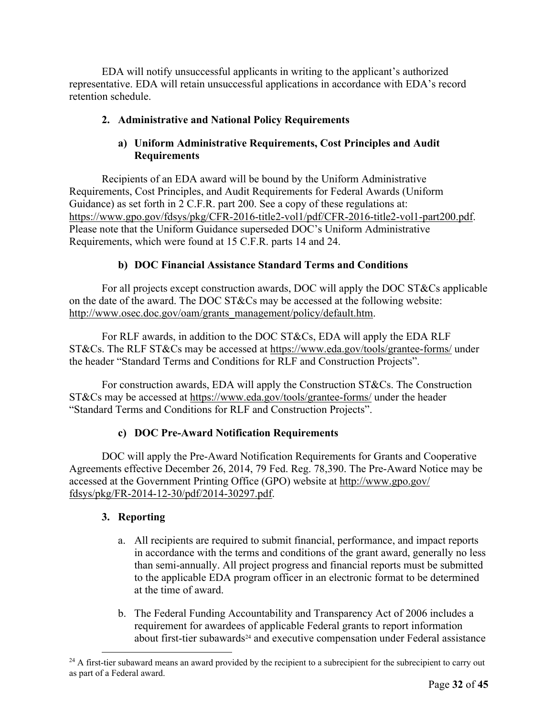EDA will notify unsuccessful applicants in writing to the applicant's authorized representative. EDA will retain unsuccessful applications in accordance with EDA's record retention schedule.

# **2. Administrative and National Policy Requirements**

# **a) Uniform Administrative Requirements, Cost Principles and Audit Requirements**

Recipients of an EDA award will be bound by the Uniform Administrative Requirements, Cost Principles, and Audit Requirements for Federal Awards (Uniform Guidance) as set forth in 2 C.F.R. part 200. See a copy of these regulations at: https://www.gpo.gov/fdsys/pkg/CFR-2016-title2-vol1/pdf/CFR-2016-title2-vol1-part200.pdf. Please note that the Uniform Guidance superseded DOC's Uniform Administrative Requirements, which were found at 15 C.F.R. parts 14 and 24.

# **b) DOC Financial Assistance Standard Terms and Conditions**

For all projects except construction awards, DOC will apply the DOC ST&Cs applicable on the date of the award. The DOC ST&Cs may be accessed at the following website: http://www.osec.doc.gov/oam/grants\_management/policy/default.htm.

For RLF awards, in addition to the DOC ST&Cs, EDA will apply the EDA RLF ST&Cs. The RLF ST&Cs may be accessed at https://www.eda.gov/tools/grantee-forms/ under the header "Standard Terms and Conditions for RLF and Construction Projects".

For construction awards, EDA will apply the Construction ST&Cs. The Construction ST&Cs may be accessed at https://www.eda.gov/tools/grantee-forms/ under the header "Standard Terms and Conditions for RLF and Construction Projects".

# **c) DOC Pre-Award Notification Requirements**

DOC will apply the Pre-Award Notification Requirements for Grants and Cooperative Agreements effective December 26, 2014, 79 Fed. Reg. 78,390. The Pre-Award Notice may be accessed at the Government Printing Office (GPO) website at http://www.gpo.gov/ fdsys/pkg/FR-2014-12-30/pdf/2014-30297.pdf.

# **3. Reporting**

- a. All recipients are required to submit financial, performance, and impact reports in accordance with the terms and conditions of the grant award, generally no less than semi-annually. All project progress and financial reports must be submitted to the applicable EDA program officer in an electronic format to be determined at the time of award.
- b. The Federal Funding Accountability and Transparency Act of 2006 includes a requirement for awardees of applicable Federal grants to report information about first-tier subawards<sup>24</sup> and executive compensation under Federal assistance

 $24$  A first-tier subaward means an award provided by the recipient to a subrecipient for the subrecipient to carry out as part of a Federal award.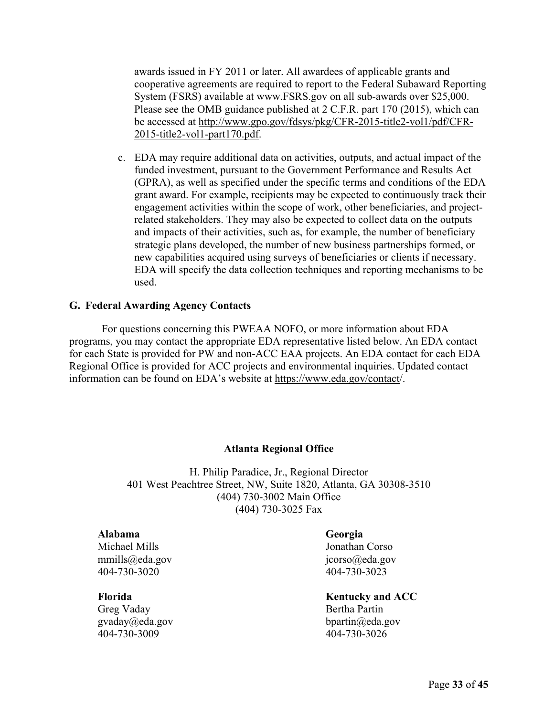awards issued in FY 2011 or later. All awardees of applicable grants and cooperative agreements are required to report to the Federal Subaward Reporting System (FSRS) available at www.FSRS.gov on all sub-awards over \$25,000. Please see the OMB guidance published at 2 C.F.R. part 170 (2015), which can be accessed at http://www.gpo.gov/fdsys/pkg/CFR-2015-title2-vol1/pdf/CFR-2015-title2-vol1-part170.pdf.

c. EDA may require additional data on activities, outputs, and actual impact of the funded investment, pursuant to the Government Performance and Results Act (GPRA), as well as specified under the specific terms and conditions of the EDA grant award. For example, recipients may be expected to continuously track their engagement activities within the scope of work, other beneficiaries, and projectrelated stakeholders. They may also be expected to collect data on the outputs and impacts of their activities, such as, for example, the number of beneficiary strategic plans developed, the number of new business partnerships formed, or new capabilities acquired using surveys of beneficiaries or clients if necessary. EDA will specify the data collection techniques and reporting mechanisms to be used.

#### **G. Federal Awarding Agency Contacts**

For questions concerning this PWEAA NOFO, or more information about EDA programs, you may contact the appropriate EDA representative listed below. An EDA contact for each State is provided for PW and non-ACC EAA projects. An EDA contact for each EDA Regional Office is provided for ACC projects and environmental inquiries. Updated contact information can be found on EDA's website at https://www.eda.gov/contact/.

#### **Atlanta Regional Office**

H. Philip Paradice, Jr., Regional Director 401 West Peachtree Street, NW, Suite 1820, Atlanta, GA 30308-3510 (404) 730-3002 Main Office (404) 730-3025 Fax

#### **Alabama**

Michael Mills mmills@eda.gov 404-730-3020

#### **Florida**

Greg Vaday gvaday@eda.gov 404-730-3009

#### **Georgia**

Jonathan Corso jcorso@eda.gov 404-730-3023

#### **Kentucky and ACC**

Bertha Partin bpartin@eda.gov 404-730-3026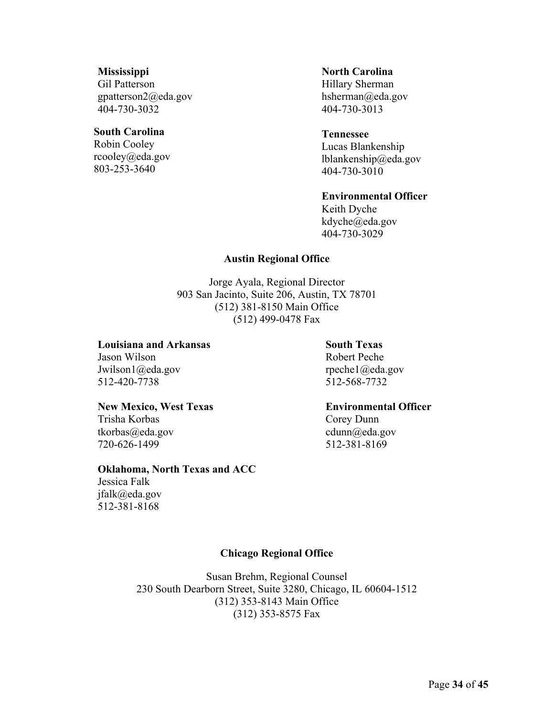#### **Mississippi**

Gil Patterson gpatterson2@eda.gov 404-730-3032

#### **South Carolina**

Robin Cooley rcooley@eda.gov 803-253-3640

#### **North Carolina**

Hillary Sherman hsherman@eda.gov 404-730-3013

#### **Tennessee**

Lucas Blankenship lblankenship@eda.gov 404-730-3010

#### **Environmental Officer**

Keith Dyche kdyche@eda.gov 404-730-3029

#### **Austin Regional Office**

Jorge Ayala, Regional Director 903 San Jacinto, Suite 206, Austin, TX 78701 (512) 381-8150 Main Office (512) 499-0478 Fax

#### **Louisiana and Arkansas**

Jason Wilson Jwilson1@eda.gov 512-420-7738

#### **New Mexico, West Texas**

Trisha Korbas tkorbas@eda.gov 720-626-1499

#### **Oklahoma, North Texas and ACC**

Jessica Falk jfalk@eda.gov 512-381-8168

# rpeche1@eda.gov

512-568-7732

**South Texas**  Robert Peche

**Environmental Officer** 

Corey Dunn cdunn@eda.gov 512-381-8169

# **Chicago Regional Office**

Susan Brehm, Regional Counsel 230 South Dearborn Street, Suite 3280, Chicago, IL 60604-1512 (312) 353-8143 Main Office (312) 353-8575 Fax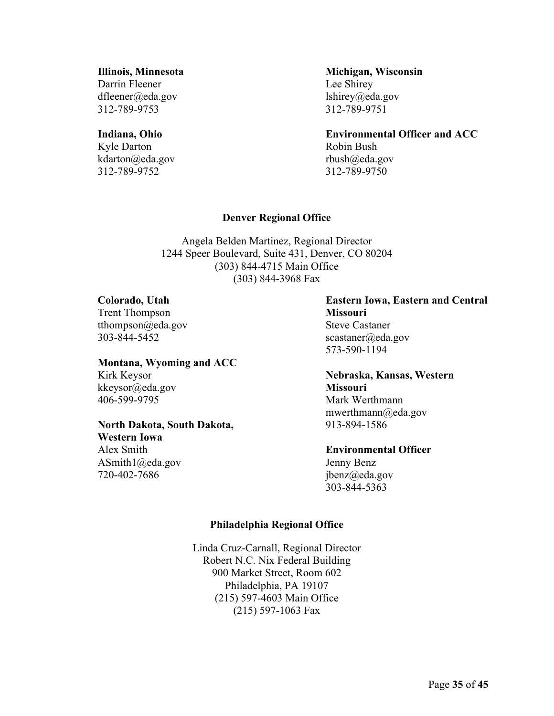# **Illinois, Minnesota**

Darrin Fleener dfleener@eda.gov 312-789-9753

# **Indiana, Ohio**

Kyle Darton kdarton@eda.gov 312-789-9752

**Michigan, Wisconsin**  Lee Shirey lshirey@eda.gov 312-789-9751

**Environmental Officer and ACC**  Robin Bush rbush@eda.gov 312-789-9750

# **Denver Regional Office**

Angela Belden Martinez, Regional Director 1244 Speer Boulevard, Suite 431, Denver, CO 80204 (303) 844-4715 Main Office (303) 844-3968 Fax

#### **Colorado, Utah**

Trent Thompson tthompson@eda.gov 303-844-5452

# **Montana, Wyoming and ACC**

Kirk Keysor kkeysor@eda.gov 406-599-9795

# **North Dakota, South Dakota,**

**Western Iowa**  Alex Smith ASmith1@eda.gov 720-402-7686

# **Eastern Iowa, Eastern and Central Missouri**  Steve Castaner scastaner@eda.gov 573-590-1194

**Nebraska, Kansas, Western Missouri**  Mark Werthmann mwerthmann@eda.gov 913-894-1586

# **Environmental Officer**

Jenny Benz jbenz@eda.gov 303-844-5363

# **Philadelphia Regional Office**

Linda Cruz-Carnall, Regional Director Robert N.C. Nix Federal Building 900 Market Street, Room 602 Philadelphia, PA 19107 (215) 597-4603 Main Office (215) 597-1063 Fax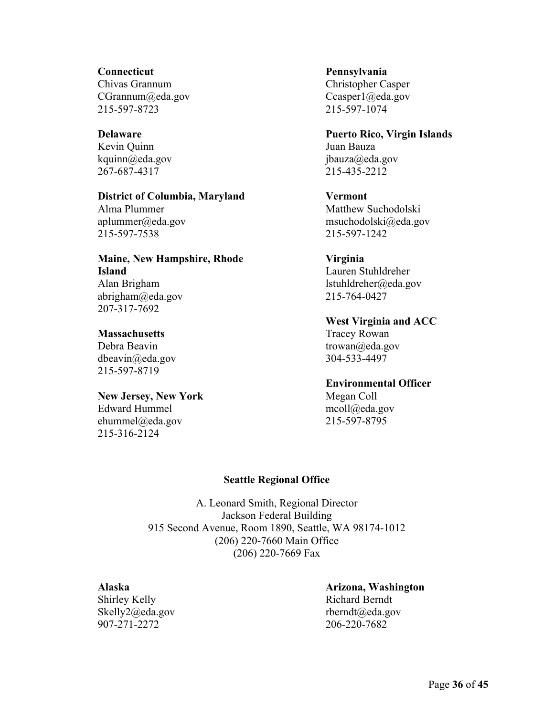#### **Connecticut**

Chivas Grannum CGrannum@eda.gov 215-597-8723

# **Delaware**

Kevin Quinn kquinn@eda.gov 267-687-4317

#### **District of Columbia, Maryland**

Alma Plummer aplummer@eda.gov 215-597-7538

# **Maine, New Hampshire, Rhode Island**  Alan Brigham

abrigham@eda.gov 207-317-7692

# **Massachusetts**

Debra Beavin dbeavin@eda.gov 215-597-8719

# **New Jersey, New York**

Edward Hummel ehummel@eda.gov 215-316-2124

# **Pennsylvania**  Christopher Casper Ccasper1@eda.gov 215-597-1074

# **Puerto Rico, Virgin Islands**  Juan Bauza jbauza@eda.gov

215-435-2212

# **Vermont**  Matthew Suchodolski msuchodolski@eda.gov 215-597-1242

# **Virginia**

Lauren Stuhldreher lstuhldreher@eda.gov 215-764-0427

**West Virginia and ACC** 

Tracey Rowan trowan@eda.gov 304-533-4497

# **Environmental Officer**

Megan Coll mcoll@eda.gov 215-597-8795

# **Seattle Regional Office**

A. Leonard Smith, Regional Director Jackson Federal Building 915 Second Avenue, Room 1890, Seattle, WA 98174-1012 (206) 220-7660 Main Office (206) 220-7669 Fax

# **Alaska**

Shirley Kelly Skelly2@eda.gov 907-271-2272

#### **Arizona, Washington**  Richard Berndt rberndt@eda.gov 206-220-7682

Page **36** of **45**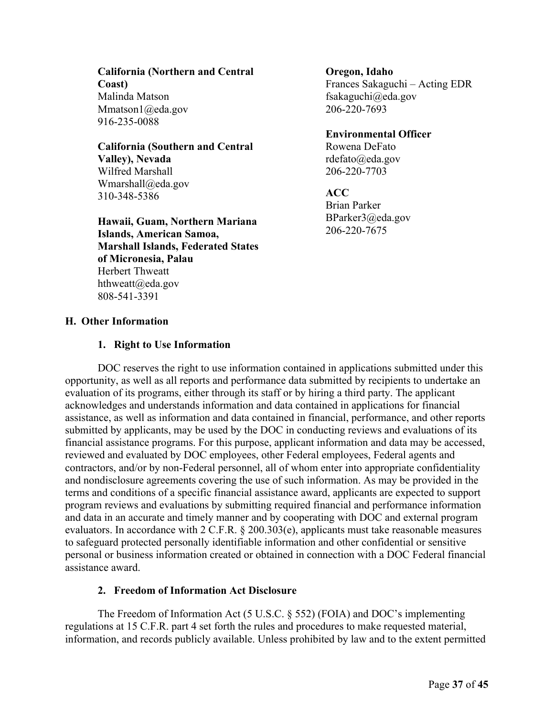**California (Northern and Central Coast)**  Malinda Matson Mmatson1@eda.gov 916-235-0088

**California (Southern and Central Valley), Nevada**  Wilfred Marshall Wmarshall@eda.gov 310-348-5386

**Hawaii, Guam, Northern Mariana Islands, American Samoa, Marshall Islands, Federated States of Micronesia, Palau**  Herbert Thweatt hthweatt@eda.gov 808-541-3391

**Oregon, Idaho** 

Frances Sakaguchi – Acting EDR fsakaguchi@eda.gov 206-220-7693

**Environmental Officer**  Rowena DeFato rdefato@eda.gov 206-220-7703

**ACC**  Brian Parker BParker3@eda.gov 206-220-7675

# **H. Other Information**

#### **1. Right to Use Information**

DOC reserves the right to use information contained in applications submitted under this opportunity, as well as all reports and performance data submitted by recipients to undertake an evaluation of its programs, either through its staff or by hiring a third party. The applicant acknowledges and understands information and data contained in applications for financial assistance, as well as information and data contained in financial, performance, and other reports submitted by applicants, may be used by the DOC in conducting reviews and evaluations of its financial assistance programs. For this purpose, applicant information and data may be accessed, reviewed and evaluated by DOC employees, other Federal employees, Federal agents and contractors, and/or by non-Federal personnel, all of whom enter into appropriate confidentiality and nondisclosure agreements covering the use of such information. As may be provided in the terms and conditions of a specific financial assistance award, applicants are expected to support program reviews and evaluations by submitting required financial and performance information and data in an accurate and timely manner and by cooperating with DOC and external program evaluators. In accordance with 2 C.F.R. § 200.303(e), applicants must take reasonable measures to safeguard protected personally identifiable information and other confidential or sensitive personal or business information created or obtained in connection with a DOC Federal financial assistance award.

# **2. Freedom of Information Act Disclosure**

The Freedom of Information Act (5 U.S.C. § 552) (FOIA) and DOC's implementing regulations at 15 C.F.R. part 4 set forth the rules and procedures to make requested material, information, and records publicly available. Unless prohibited by law and to the extent permitted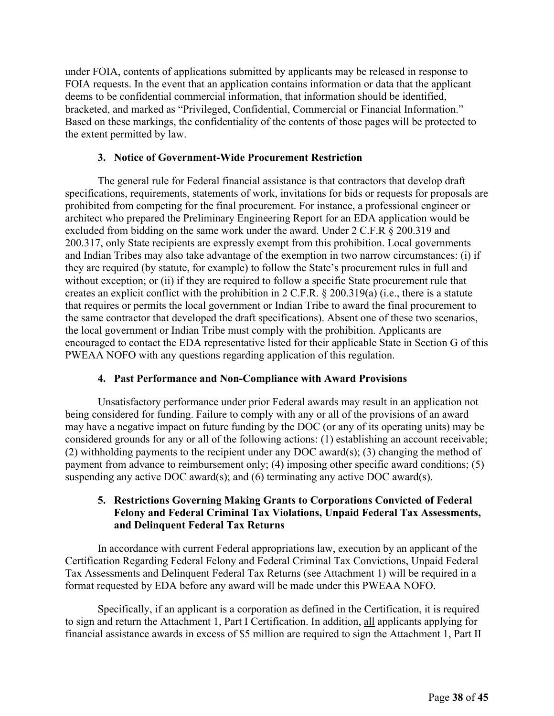under FOIA, contents of applications submitted by applicants may be released in response to FOIA requests. In the event that an application contains information or data that the applicant deems to be confidential commercial information, that information should be identified, bracketed, and marked as "Privileged, Confidential, Commercial or Financial Information." Based on these markings, the confidentiality of the contents of those pages will be protected to the extent permitted by law.

#### **3. Notice of Government-Wide Procurement Restriction**

The general rule for Federal financial assistance is that contractors that develop draft specifications, requirements, statements of work, invitations for bids or requests for proposals are prohibited from competing for the final procurement. For instance, a professional engineer or architect who prepared the Preliminary Engineering Report for an EDA application would be excluded from bidding on the same work under the award. Under 2 C.F.R § 200.319 and 200.317, only State recipients are expressly exempt from this prohibition. Local governments and Indian Tribes may also take advantage of the exemption in two narrow circumstances: (i) if they are required (by statute, for example) to follow the State's procurement rules in full and without exception; or (ii) if they are required to follow a specific State procurement rule that creates an explicit conflict with the prohibition in 2 C.F.R. § 200.319(a) (i.e., there is a statute that requires or permits the local government or Indian Tribe to award the final procurement to the same contractor that developed the draft specifications). Absent one of these two scenarios, the local government or Indian Tribe must comply with the prohibition. Applicants are encouraged to contact the EDA representative listed for their applicable State in Section G of this PWEAA NOFO with any questions regarding application of this regulation.

# **4. Past Performance and Non-Compliance with Award Provisions**

Unsatisfactory performance under prior Federal awards may result in an application not being considered for funding. Failure to comply with any or all of the provisions of an award may have a negative impact on future funding by the DOC (or any of its operating units) may be considered grounds for any or all of the following actions: (1) establishing an account receivable; (2) withholding payments to the recipient under any DOC award(s); (3) changing the method of payment from advance to reimbursement only; (4) imposing other specific award conditions; (5) suspending any active DOC award(s); and (6) terminating any active DOC award(s).

# **5. Restrictions Governing Making Grants to Corporations Convicted of Federal Felony and Federal Criminal Tax Violations, Unpaid Federal Tax Assessments, and Delinquent Federal Tax Returns**

In accordance with current Federal appropriations law, execution by an applicant of the Certification Regarding Federal Felony and Federal Criminal Tax Convictions, Unpaid Federal Tax Assessments and Delinquent Federal Tax Returns (see Attachment 1) will be required in a format requested by EDA before any award will be made under this PWEAA NOFO.

Specifically, if an applicant is a corporation as defined in the Certification, it is required to sign and return the Attachment 1, Part I Certification. In addition, all applicants applying for financial assistance awards in excess of \$5 million are required to sign the Attachment 1, Part II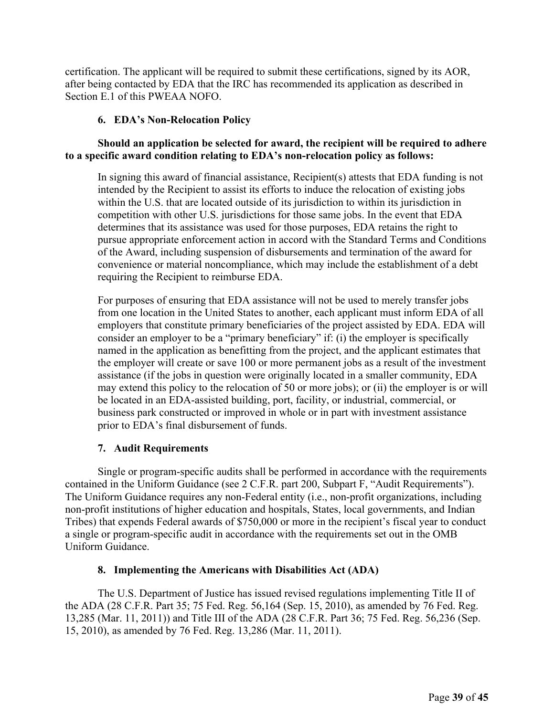certification. The applicant will be required to submit these certifications, signed by its AOR, after being contacted by EDA that the IRC has recommended its application as described in Section E.1 of this PWEAA NOFO.

# **6. EDA's Non-Relocation Policy**

# **Should an application be selected for award, the recipient will be required to adhere to a specific award condition relating to EDA's non-relocation policy as follows:**

In signing this award of financial assistance, Recipient(s) attests that EDA funding is not intended by the Recipient to assist its efforts to induce the relocation of existing jobs within the U.S. that are located outside of its jurisdiction to within its jurisdiction in competition with other U.S. jurisdictions for those same jobs. In the event that EDA determines that its assistance was used for those purposes, EDA retains the right to pursue appropriate enforcement action in accord with the Standard Terms and Conditions of the Award, including suspension of disbursements and termination of the award for convenience or material noncompliance, which may include the establishment of a debt requiring the Recipient to reimburse EDA.

For purposes of ensuring that EDA assistance will not be used to merely transfer jobs from one location in the United States to another, each applicant must inform EDA of all employers that constitute primary beneficiaries of the project assisted by EDA. EDA will consider an employer to be a "primary beneficiary" if: (i) the employer is specifically named in the application as benefitting from the project, and the applicant estimates that the employer will create or save 100 or more permanent jobs as a result of the investment assistance (if the jobs in question were originally located in a smaller community, EDA may extend this policy to the relocation of 50 or more jobs); or (ii) the employer is or will be located in an EDA-assisted building, port, facility, or industrial, commercial, or business park constructed or improved in whole or in part with investment assistance prior to EDA's final disbursement of funds.

# **7. Audit Requirements**

Single or program-specific audits shall be performed in accordance with the requirements contained in the Uniform Guidance (see 2 C.F.R. part 200, Subpart F, "Audit Requirements"). The Uniform Guidance requires any non-Federal entity (i.e., non-profit organizations, including non-profit institutions of higher education and hospitals, States, local governments, and Indian Tribes) that expends Federal awards of \$750,000 or more in the recipient's fiscal year to conduct a single or program-specific audit in accordance with the requirements set out in the OMB Uniform Guidance.

# **8. Implementing the Americans with Disabilities Act (ADA)**

The U.S. Department of Justice has issued revised regulations implementing Title II of the ADA (28 C.F.R. Part 35; 75 Fed. Reg. 56,164 (Sep. 15, 2010), as amended by 76 Fed. Reg. 13,285 (Mar. 11, 2011)) and Title III of the ADA (28 C.F.R. Part 36; 75 Fed. Reg. 56,236 (Sep. 15, 2010), as amended by 76 Fed. Reg. 13,286 (Mar. 11, 2011).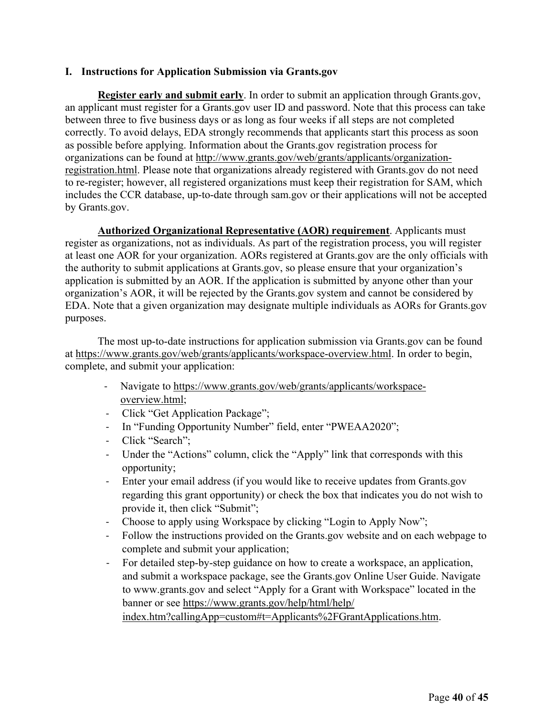# **I. Instructions for Application Submission via Grants.gov**

**Register early and submit early**. In order to submit an application through Grants.gov, an applicant must register for a Grants.gov user ID and password. Note that this process can take between three to five business days or as long as four weeks if all steps are not completed correctly. To avoid delays, EDA strongly recommends that applicants start this process as soon as possible before applying. Information about the Grants.gov registration process for organizations can be found at http://www.grants.gov/web/grants/applicants/organizationregistration.html. Please note that organizations already registered with Grants.gov do not need to re-register; however, all registered organizations must keep their registration for SAM, which includes the CCR database, up-to-date through sam.gov or their applications will not be accepted by Grants.gov.

**Authorized Organizational Representative (AOR) requirement**. Applicants must register as organizations, not as individuals. As part of the registration process, you will register at least one AOR for your organization. AORs registered at Grants.gov are the only officials with the authority to submit applications at Grants.gov, so please ensure that your organization's application is submitted by an AOR. If the application is submitted by anyone other than your organization's AOR, it will be rejected by the Grants.gov system and cannot be considered by EDA. Note that a given organization may designate multiple individuals as AORs for Grants.gov purposes.

The most up-to-date instructions for application submission via Grants.gov can be found at https://www.grants.gov/web/grants/applicants/workspace-overview.html. In order to begin, complete, and submit your application:

- Navigate to https://www.grants.gov/web/grants/applicants/workspaceoverview.html;
- ‐ Click "Get Application Package";
- ‐ In "Funding Opportunity Number" field, enter "PWEAA2020";
- ‐ Click "Search";
- ‐ Under the "Actions" column, click the "Apply" link that corresponds with this opportunity;
- ‐ Enter your email address (if you would like to receive updates from Grants.gov regarding this grant opportunity) or check the box that indicates you do not wish to provide it, then click "Submit";
- ‐ Choose to apply using Workspace by clicking "Login to Apply Now";
- ‐ Follow the instructions provided on the Grants.gov website and on each webpage to complete and submit your application;
- For detailed step-by-step guidance on how to create a workspace, an application, and submit a workspace package, see the Grants.gov Online User Guide. Navigate to www.grants.gov and select "Apply for a Grant with Workspace" located in the banner or see https://www.grants.gov/help/html/help/ index.htm?callingApp=custom#t=Applicants%2FGrantApplications.htm.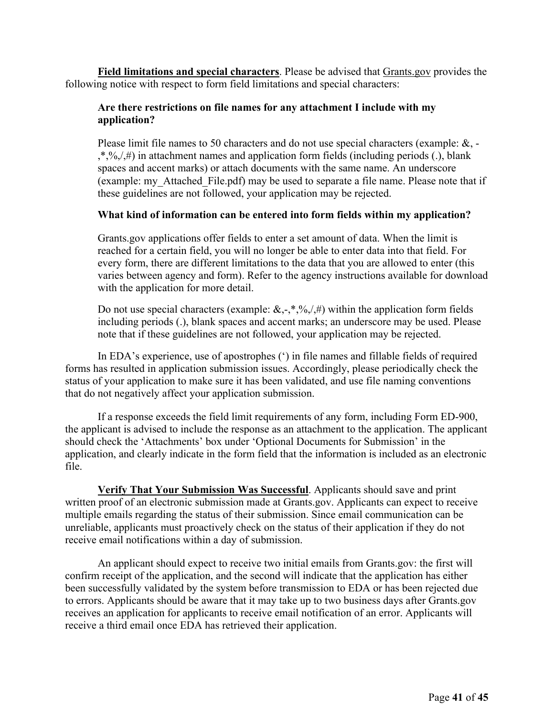**Field limitations and special characters**. Please be advised that Grants.gov provides the following notice with respect to form field limitations and special characters:

# **Are there restrictions on file names for any attachment I include with my application?**

Please limit file names to 50 characters and do not use special characters (example: &, -  $,*,\%$ ,  $\langle\#$ ) in attachment names and application form fields (including periods (.), blank spaces and accent marks) or attach documents with the same name. An underscore (example: my\_Attached\_File.pdf) may be used to separate a file name. Please note that if these guidelines are not followed, your application may be rejected.

# **What kind of information can be entered into form fields within my application?**

Grants.gov applications offer fields to enter a set amount of data. When the limit is reached for a certain field, you will no longer be able to enter data into that field. For every form, there are different limitations to the data that you are allowed to enter (this varies between agency and form). Refer to the agency instructions available for download with the application for more detail.

Do not use special characters (example:  $\&, \cdot, \cdot, \frac{9}{9}, \frac{1}{10}$ ) within the application form fields including periods (.), blank spaces and accent marks; an underscore may be used. Please note that if these guidelines are not followed, your application may be rejected.

In EDA's experience, use of apostrophes (') in file names and fillable fields of required forms has resulted in application submission issues. Accordingly, please periodically check the status of your application to make sure it has been validated, and use file naming conventions that do not negatively affect your application submission.

If a response exceeds the field limit requirements of any form, including Form ED-900, the applicant is advised to include the response as an attachment to the application. The applicant should check the 'Attachments' box under 'Optional Documents for Submission' in the application, and clearly indicate in the form field that the information is included as an electronic file.

**Verify That Your Submission Was Successful**. Applicants should save and print written proof of an electronic submission made at Grants.gov. Applicants can expect to receive multiple emails regarding the status of their submission. Since email communication can be unreliable, applicants must proactively check on the status of their application if they do not receive email notifications within a day of submission.

An applicant should expect to receive two initial emails from Grants.gov: the first will confirm receipt of the application, and the second will indicate that the application has either been successfully validated by the system before transmission to EDA or has been rejected due to errors. Applicants should be aware that it may take up to two business days after Grants.gov receives an application for applicants to receive email notification of an error. Applicants will receive a third email once EDA has retrieved their application.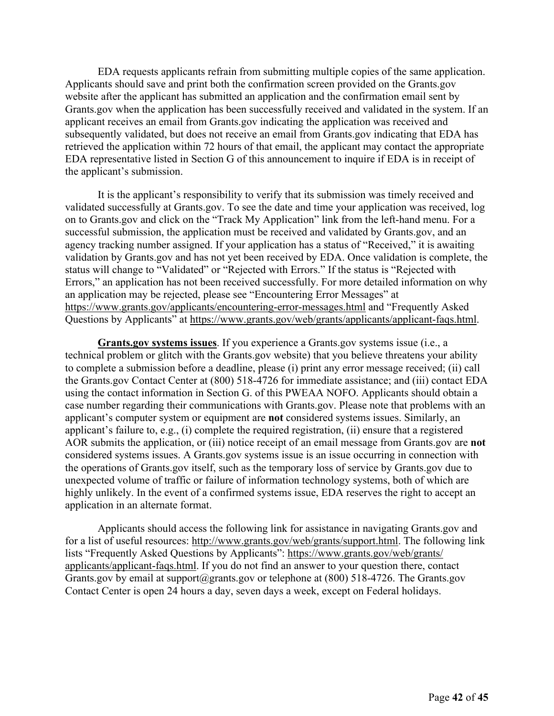EDA requests applicants refrain from submitting multiple copies of the same application. Applicants should save and print both the confirmation screen provided on the Grants.gov website after the applicant has submitted an application and the confirmation email sent by Grants.gov when the application has been successfully received and validated in the system. If an applicant receives an email from Grants.gov indicating the application was received and subsequently validated, but does not receive an email from Grants.gov indicating that EDA has retrieved the application within 72 hours of that email, the applicant may contact the appropriate EDA representative listed in Section G of this announcement to inquire if EDA is in receipt of the applicant's submission.

It is the applicant's responsibility to verify that its submission was timely received and validated successfully at Grants.gov. To see the date and time your application was received, log on to Grants.gov and click on the "Track My Application" link from the left-hand menu. For a successful submission, the application must be received and validated by Grants.gov, and an agency tracking number assigned. If your application has a status of "Received," it is awaiting validation by Grants.gov and has not yet been received by EDA. Once validation is complete, the status will change to "Validated" or "Rejected with Errors." If the status is "Rejected with Errors," an application has not been received successfully. For more detailed information on why an application may be rejected, please see "Encountering Error Messages" at https://www.grants.gov/applicants/encountering-error-messages.html and "Frequently Asked Questions by Applicants" at https://www.grants.gov/web/grants/applicants/applicant-faqs.html.

**Grants.gov systems issues**. If you experience a Grants.gov systems issue (i.e., a technical problem or glitch with the Grants.gov website) that you believe threatens your ability to complete a submission before a deadline, please (i) print any error message received; (ii) call the Grants.gov Contact Center at (800) 518-4726 for immediate assistance; and (iii) contact EDA using the contact information in Section G. of this PWEAA NOFO. Applicants should obtain a case number regarding their communications with Grants.gov. Please note that problems with an applicant's computer system or equipment are **not** considered systems issues. Similarly, an applicant's failure to, e.g., (i) complete the required registration, (ii) ensure that a registered AOR submits the application, or (iii) notice receipt of an email message from Grants.gov are **not** considered systems issues. A Grants.gov systems issue is an issue occurring in connection with the operations of Grants.gov itself, such as the temporary loss of service by Grants.gov due to unexpected volume of traffic or failure of information technology systems, both of which are highly unlikely. In the event of a confirmed systems issue, EDA reserves the right to accept an application in an alternate format.

Applicants should access the following link for assistance in navigating Grants.gov and for a list of useful resources: http://www.grants.gov/web/grants/support.html. The following link lists "Frequently Asked Questions by Applicants": https://www.grants.gov/web/grants/ applicants/applicant-faqs.html. If you do not find an answer to your question there, contact Grants.gov by email at support@grants.gov or telephone at  $(800)$  518-4726. The Grants.gov Contact Center is open 24 hours a day, seven days a week, except on Federal holidays.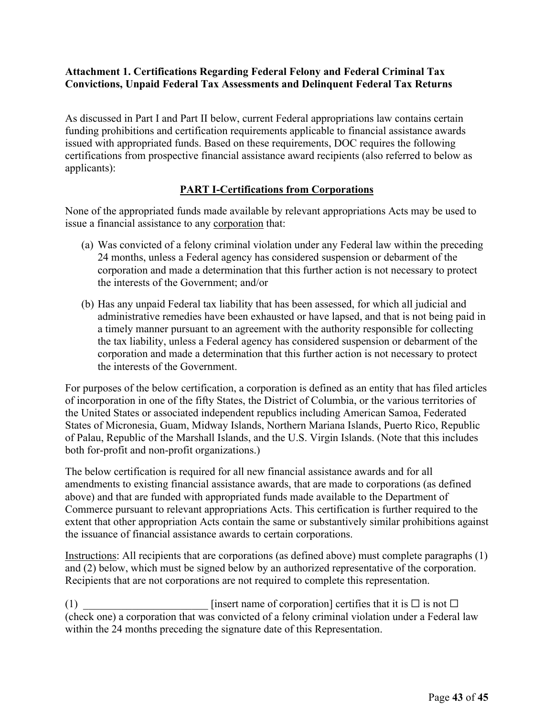# **Attachment 1. Certifications Regarding Federal Felony and Federal Criminal Tax Convictions, Unpaid Federal Tax Assessments and Delinquent Federal Tax Returns**

As discussed in Part I and Part II below, current Federal appropriations law contains certain funding prohibitions and certification requirements applicable to financial assistance awards issued with appropriated funds. Based on these requirements, DOC requires the following certifications from prospective financial assistance award recipients (also referred to below as applicants):

# **PART I-Certifications from Corporations**

None of the appropriated funds made available by relevant appropriations Acts may be used to issue a financial assistance to any corporation that:

- (a) Was convicted of a felony criminal violation under any Federal law within the preceding 24 months, unless a Federal agency has considered suspension or debarment of the corporation and made a determination that this further action is not necessary to protect the interests of the Government; and/or
- (b) Has any unpaid Federal tax liability that has been assessed, for which all judicial and administrative remedies have been exhausted or have lapsed, and that is not being paid in a timely manner pursuant to an agreement with the authority responsible for collecting the tax liability, unless a Federal agency has considered suspension or debarment of the corporation and made a determination that this further action is not necessary to protect the interests of the Government.

For purposes of the below certification, a corporation is defined as an entity that has filed articles of incorporation in one of the fifty States, the District of Columbia, or the various territories of the United States or associated independent republics including American Samoa, Federated States of Micronesia, Guam, Midway Islands, Northern Mariana Islands, Puerto Rico, Republic of Palau, Republic of the Marshall Islands, and the U.S. Virgin Islands. (Note that this includes both for-profit and non-profit organizations.)

The below certification is required for all new financial assistance awards and for all amendments to existing financial assistance awards, that are made to corporations (as defined above) and that are funded with appropriated funds made available to the Department of Commerce pursuant to relevant appropriations Acts. This certification is further required to the extent that other appropriation Acts contain the same or substantively similar prohibitions against the issuance of financial assistance awards to certain corporations.

Instructions: All recipients that are corporations (as defined above) must complete paragraphs (1) and (2) below, which must be signed below by an authorized representative of the corporation. Recipients that are not corporations are not required to complete this representation.

(1)  $\qquad \qquad$  [insert name of corporation] certifies that it is  $\Box$  is not  $\Box$ (check one) a corporation that was convicted of a felony criminal violation under a Federal law within the 24 months preceding the signature date of this Representation.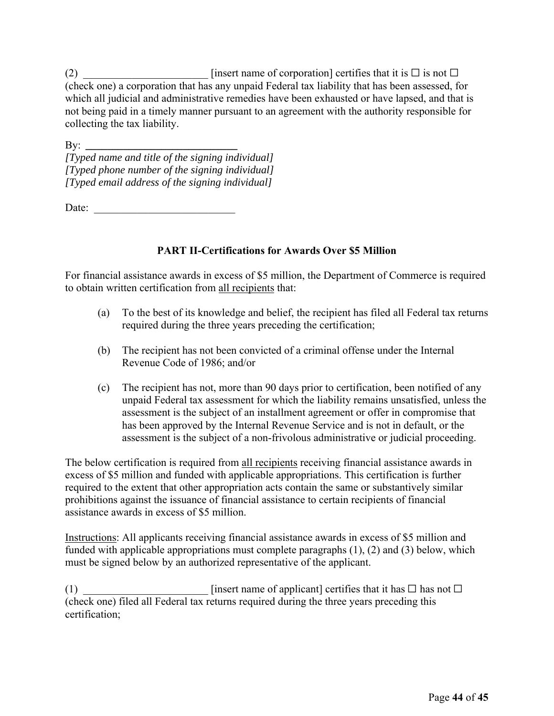$(2)$  \_\_\_\_\_\_\_\_\_\_\_\_\_\_\_\_\_\_\_\_\_\_\_\_\_\_ [insert name of corporation] certifies that it is  $\Box$  is not  $\Box$ (check one) a corporation that has any unpaid Federal tax liability that has been assessed, for which all judicial and administrative remedies have been exhausted or have lapsed, and that is not being paid in a timely manner pursuant to an agreement with the authority responsible for collecting the tax liability.

By: *\_\_\_\_\_\_\_\_\_\_\_\_\_\_\_\_\_\_\_\_\_\_\_\_\_\_\_\_ [Typed name and title of the signing individual] [Typed phone number of the signing individual] [Typed email address of the signing individual]*

Date:

# **PART II-Certifications for Awards Over \$5 Million**

For financial assistance awards in excess of \$5 million, the Department of Commerce is required to obtain written certification from all recipients that:

- (a) To the best of its knowledge and belief, the recipient has filed all Federal tax returns required during the three years preceding the certification;
- (b) The recipient has not been convicted of a criminal offense under the Internal Revenue Code of 1986; and/or
- (c) The recipient has not, more than 90 days prior to certification, been notified of any unpaid Federal tax assessment for which the liability remains unsatisfied, unless the assessment is the subject of an installment agreement or offer in compromise that has been approved by the Internal Revenue Service and is not in default, or the assessment is the subject of a non-frivolous administrative or judicial proceeding.

The below certification is required from all recipients receiving financial assistance awards in excess of \$5 million and funded with applicable appropriations. This certification is further required to the extent that other appropriation acts contain the same or substantively similar prohibitions against the issuance of financial assistance to certain recipients of financial assistance awards in excess of \$5 million.

Instructions: All applicants receiving financial assistance awards in excess of \$5 million and funded with applicable appropriations must complete paragraphs (1), (2) and (3) below, which must be signed below by an authorized representative of the applicant.

(1)  $\Box$  [insert name of applicant] certifies that it has  $\Box$  has not  $\Box$ (check one) filed all Federal tax returns required during the three years preceding this certification;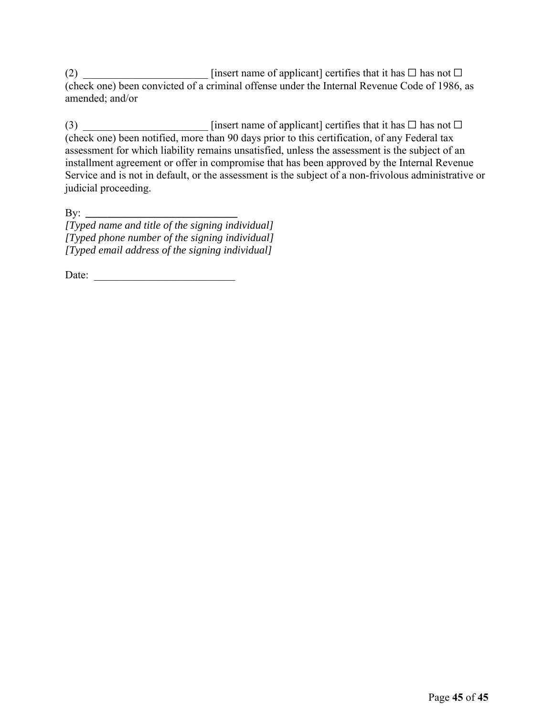(2)  $\Box$  [insert name of applicant] certifies that it has  $\Box$  has not  $\Box$ (check one) been convicted of a criminal offense under the Internal Revenue Code of 1986, as amended; and/or

(3)  $\Box$  [insert name of applicant] certifies that it has  $\Box$  has not  $\Box$ (check one) been notified, more than 90 days prior to this certification, of any Federal tax assessment for which liability remains unsatisfied, unless the assessment is the subject of an installment agreement or offer in compromise that has been approved by the Internal Revenue Service and is not in default, or the assessment is the subject of a non-frivolous administrative or judicial proceeding.

By: *\_\_\_\_\_\_\_\_\_\_\_\_\_\_\_\_\_\_\_\_\_\_\_\_\_\_\_\_* 

*[Typed name and title of the signing individual] [Typed phone number of the signing individual] [Typed email address of the signing individual]*

Date: \_\_\_\_\_\_\_\_\_\_\_\_\_\_\_\_\_\_\_\_\_\_\_\_\_\_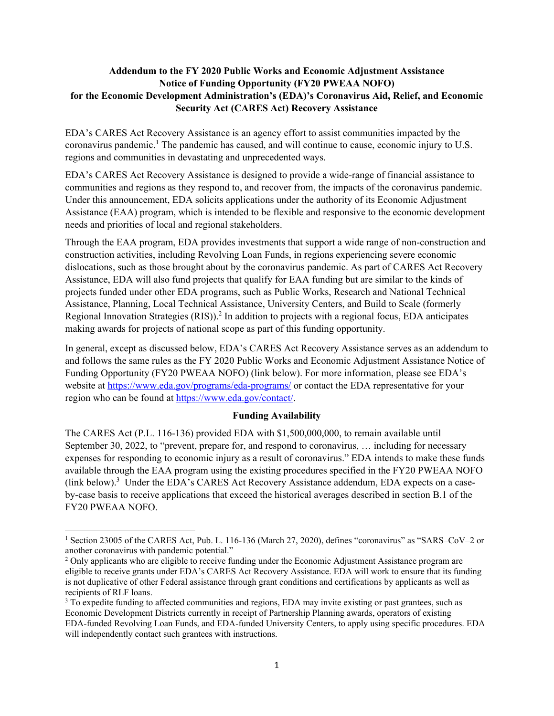# **Addendum to the FY 2020 Public Works and Economic Adjustment Assistance Notice of Funding Opportunity (FY20 PWEAA NOFO) for the Economic Development Administration's (EDA)'s Coronavirus Aid, Relief, and Economic Security Act (CARES Act) Recovery Assistance**

EDA's CARES Act Recovery Assistance is an agency effort to assist communities impacted by the coronavirus pandemic.<sup>1</sup> The pandemic has caused, and will continue to cause, economic injury to U.S. regions and communities in devastating and unprecedented ways.

EDA's CARES Act Recovery Assistance is designed to provide a wide-range of financial assistance to communities and regions as they respond to, and recover from, the impacts of the coronavirus pandemic. Under this announcement, EDA solicits applications under the authority of its Economic Adjustment Assistance (EAA) program, which is intended to be flexible and responsive to the economic development needs and priorities of local and regional stakeholders.

Through the EAA program, EDA provides investments that support a wide range of non-construction and construction activities, including Revolving Loan Funds, in regions experiencing severe economic dislocations, such as those brought about by the coronavirus pandemic. As part of CARES Act Recovery Assistance, EDA will also fund projects that qualify for EAA funding but are similar to the kinds of projects funded under other EDA programs, such as Public Works, Research and National Technical Assistance, Planning, Local Technical Assistance, University Centers, and Build to Scale (formerly Regional Innovation Strategies (RIS)).<sup>2</sup> In addition to projects with a regional focus, EDA anticipates making awards for projects of national scope as part of this funding opportunity.

In general, except as discussed below, EDA's CARES Act Recovery Assistance serves as an addendum to and follows the same rules as the FY 2020 Public Works and Economic Adjustment Assistance Notice of Funding Opportunity (FY20 PWEAA NOFO) (link below). For more information, please see EDA's website at https://www.eda.gov/programs/eda-programs/ or contact the EDA representative for your region who can be found at https://www.eda.gov/contact/.

#### **Funding Availability**

The CARES Act (P.L. 116-136) provided EDA with \$1,500,000,000, to remain available until September 30, 2022, to "prevent, prepare for, and respond to coronavirus, … including for necessary expenses for responding to economic injury as a result of coronavirus." EDA intends to make these funds available through the EAA program using the existing procedures specified in the FY20 PWEAA NOFO (link below).<sup>3</sup> Under the EDA's CARES Act Recovery Assistance addendum, EDA expects on a caseby-case basis to receive applications that exceed the historical averages described in section B.1 of the FY20 PWEAA NOFO.

<sup>&</sup>lt;sup>1</sup> Section 23005 of the CARES Act, Pub. L. 116-136 (March 27, 2020), defines "coronavirus" as "SARS–CoV–2 or another coronavirus with pandemic potential."

<sup>&</sup>lt;sup>2</sup> Only applicants who are eligible to receive funding under the Economic Adjustment Assistance program are eligible to receive grants under EDA's CARES Act Recovery Assistance. EDA will work to ensure that its funding is not duplicative of other Federal assistance through grant conditions and certifications by applicants as well as recipients of RLF loans.

<sup>&</sup>lt;sup>3</sup> To expedite funding to affected communities and regions, EDA may invite existing or past grantees, such as Economic Development Districts currently in receipt of Partnership Planning awards, operators of existing EDA-funded Revolving Loan Funds, and EDA-funded University Centers, to apply using specific procedures. EDA will independently contact such grantees with instructions.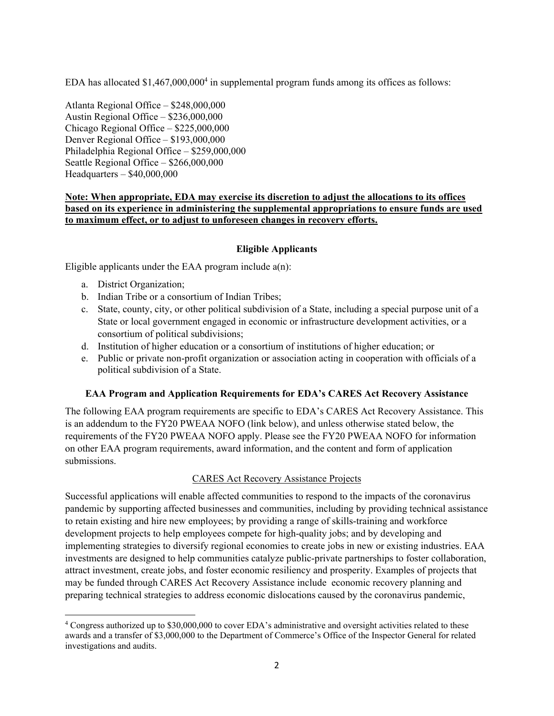EDA has allocated  $$1,467,000,000<sup>4</sup>$  in supplemental program funds among its offices as follows:

Atlanta Regional Office – \$248,000,000 Austin Regional Office – \$236,000,000 Chicago Regional Office – \$225,000,000 Denver Regional Office – \$193,000,000 Philadelphia Regional Office – \$259,000,000 Seattle Regional Office – \$266,000,000 Headquarters – \$40,000,000

#### **Note: When appropriate, EDA may exercise its discretion to adjust the allocations to its offices based on its experience in administering the supplemental appropriations to ensure funds are used to maximum effect, or to adjust to unforeseen changes in recovery efforts.**

#### **Eligible Applicants**

Eligible applicants under the EAA program include  $a(n)$ :

- a. District Organization;
- b. Indian Tribe or a consortium of Indian Tribes;
- c. State, county, city, or other political subdivision of a State, including a special purpose unit of a State or local government engaged in economic or infrastructure development activities, or a consortium of political subdivisions;
- d. Institution of higher education or a consortium of institutions of higher education; or
- e. Public or private non-profit organization or association acting in cooperation with officials of a political subdivision of a State.

#### **EAA Program and Application Requirements for EDA's CARES Act Recovery Assistance**

The following EAA program requirements are specific to EDA's CARES Act Recovery Assistance. This is an addendum to the FY20 PWEAA NOFO (link below), and unless otherwise stated below, the requirements of the FY20 PWEAA NOFO apply. Please see the FY20 PWEAA NOFO for information on other EAA program requirements, award information, and the content and form of application submissions.

#### CARES Act Recovery Assistance Projects

Successful applications will enable affected communities to respond to the impacts of the coronavirus pandemic by supporting affected businesses and communities, including by providing technical assistance to retain existing and hire new employees; by providing a range of skills-training and workforce development projects to help employees compete for high-quality jobs; and by developing and implementing strategies to diversify regional economies to create jobs in new or existing industries. EAA investments are designed to help communities catalyze public-private partnerships to foster collaboration, attract investment, create jobs, and foster economic resiliency and prosperity. Examples of projects that may be funded through CARES Act Recovery Assistance include economic recovery planning and preparing technical strategies to address economic dislocations caused by the coronavirus pandemic,

<sup>&</sup>lt;sup>4</sup> Congress authorized up to \$30,000,000 to cover EDA's administrative and oversight activities related to these awards and a transfer of \$3,000,000 to the Department of Commerce's Office of the Inspector General for related investigations and audits.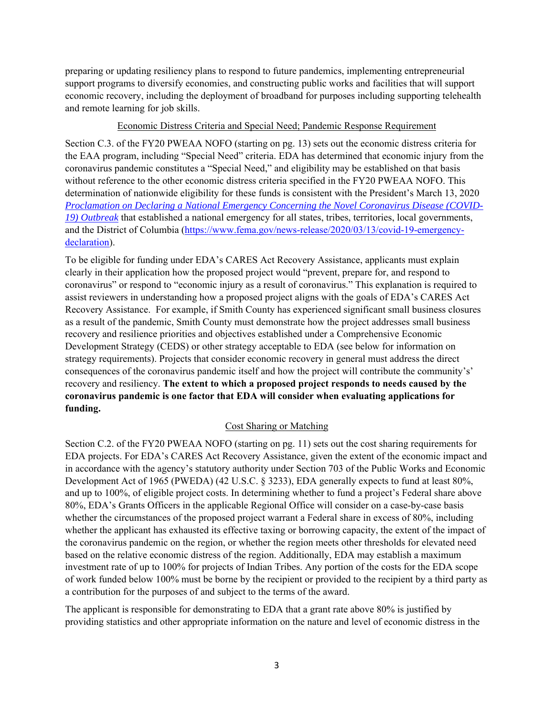preparing or updating resiliency plans to respond to future pandemics, implementing entrepreneurial support programs to diversify economies, and constructing public works and facilities that will support economic recovery, including the deployment of broadband for purposes including supporting telehealth and remote learning for job skills.

#### Economic Distress Criteria and Special Need; Pandemic Response Requirement

Section C.3. of the FY20 PWEAA NOFO (starting on pg. 13) sets out the economic distress criteria for the EAA program, including "Special Need" criteria. EDA has determined that economic injury from the coronavirus pandemic constitutes a "Special Need," and eligibility may be established on that basis without reference to the other economic distress criteria specified in the FY20 PWEAA NOFO. This determination of nationwide eligibility for these funds is consistent with the President's March 13, 2020 *Proclamation on Declaring a National Emergency Concerning the Novel Coronavirus Disease (COVID-19) Outbreak* that established a national emergency for all states, tribes, territories, local governments, and the District of Columbia (https://www.fema.gov/news-release/2020/03/13/covid-19-emergencydeclaration).

To be eligible for funding under EDA's CARES Act Recovery Assistance, applicants must explain clearly in their application how the proposed project would "prevent, prepare for, and respond to coronavirus" or respond to "economic injury as a result of coronavirus." This explanation is required to assist reviewers in understanding how a proposed project aligns with the goals of EDA's CARES Act Recovery Assistance. For example, if Smith County has experienced significant small business closures as a result of the pandemic, Smith County must demonstrate how the project addresses small business recovery and resilience priorities and objectives established under a Comprehensive Economic Development Strategy (CEDS) or other strategy acceptable to EDA (see below for information on strategy requirements). Projects that consider economic recovery in general must address the direct consequences of the coronavirus pandemic itself and how the project will contribute the community's' recovery and resiliency. **The extent to which a proposed project responds to needs caused by the coronavirus pandemic is one factor that EDA will consider when evaluating applications for funding.** 

#### Cost Sharing or Matching

Section C.2. of the FY20 PWEAA NOFO (starting on pg. 11) sets out the cost sharing requirements for EDA projects. For EDA's CARES Act Recovery Assistance, given the extent of the economic impact and in accordance with the agency's statutory authority under Section 703 of the Public Works and Economic Development Act of 1965 (PWEDA) (42 U.S.C. § 3233), EDA generally expects to fund at least 80%, and up to 100%, of eligible project costs. In determining whether to fund a project's Federal share above 80%, EDA's Grants Officers in the applicable Regional Office will consider on a case-by-case basis whether the circumstances of the proposed project warrant a Federal share in excess of 80%, including whether the applicant has exhausted its effective taxing or borrowing capacity, the extent of the impact of the coronavirus pandemic on the region, or whether the region meets other thresholds for elevated need based on the relative economic distress of the region. Additionally, EDA may establish a maximum investment rate of up to 100% for projects of Indian Tribes. Any portion of the costs for the EDA scope of work funded below 100% must be borne by the recipient or provided to the recipient by a third party as a contribution for the purposes of and subject to the terms of the award.

The applicant is responsible for demonstrating to EDA that a grant rate above 80% is justified by providing statistics and other appropriate information on the nature and level of economic distress in the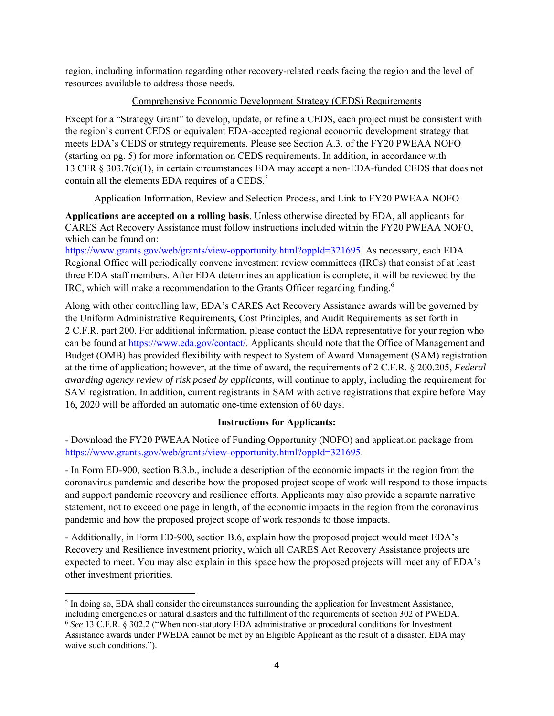region, including information regarding other recovery-related needs facing the region and the level of resources available to address those needs.

#### Comprehensive Economic Development Strategy (CEDS) Requirements

Except for a "Strategy Grant" to develop, update, or refine a CEDS, each project must be consistent with the region's current CEDS or equivalent EDA-accepted regional economic development strategy that meets EDA's CEDS or strategy requirements. Please see Section A.3. of the FY20 PWEAA NOFO (starting on pg. 5) for more information on CEDS requirements. In addition, in accordance with 13 CFR § 303.7(c)(1), in certain circumstances EDA may accept a non-EDA-funded CEDS that does not contain all the elements EDA requires of a CEDS.<sup>5</sup>

# Application Information, Review and Selection Process, and Link to FY20 PWEAA NOFO

**Applications are accepted on a rolling basis**. Unless otherwise directed by EDA, all applicants for CARES Act Recovery Assistance must follow instructions included within the FY20 PWEAA NOFO, which can be found on:

https://www.grants.gov/web/grants/view-opportunity.html?oppId=321695. As necessary, each EDA Regional Office will periodically convene investment review committees (IRCs) that consist of at least three EDA staff members. After EDA determines an application is complete, it will be reviewed by the IRC, which will make a recommendation to the Grants Officer regarding funding.<sup>6</sup>

Along with other controlling law, EDA's CARES Act Recovery Assistance awards will be governed by the Uniform Administrative Requirements, Cost Principles, and Audit Requirements as set forth in 2 C.F.R. part 200. For additional information, please contact the EDA representative for your region who can be found at https://www.eda.gov/contact/. Applicants should note that the Office of Management and Budget (OMB) has provided flexibility with respect to System of Award Management (SAM) registration at the time of application; however, at the time of award, the requirements of 2 C.F.R. § 200.205, *Federal awarding agency review of risk posed by applicants*, will continue to apply, including the requirement for SAM registration. In addition, current registrants in SAM with active registrations that expire before May 16, 2020 will be afforded an automatic one-time extension of 60 days.

# **Instructions for Applicants:**

- Download the FY20 PWEAA Notice of Funding Opportunity (NOFO) and application package from https://www.grants.gov/web/grants/view-opportunity.html?oppId=321695.

- In Form ED-900, section B.3.b., include a description of the economic impacts in the region from the coronavirus pandemic and describe how the proposed project scope of work will respond to those impacts and support pandemic recovery and resilience efforts. Applicants may also provide a separate narrative statement, not to exceed one page in length, of the economic impacts in the region from the coronavirus pandemic and how the proposed project scope of work responds to those impacts.

- Additionally, in Form ED-900, section B.6, explain how the proposed project would meet EDA's Recovery and Resilience investment priority, which all CARES Act Recovery Assistance projects are expected to meet. You may also explain in this space how the proposed projects will meet any of EDA's other investment priorities.

 $<sup>5</sup>$  In doing so, EDA shall consider the circumstances surrounding the application for Investment Assistance,</sup> including emergencies or natural disasters and the fulfillment of the requirements of section 302 of PWEDA.

<sup>6</sup> *See* 13 C.F.R. § 302.2 ("When non-statutory EDA administrative or procedural conditions for Investment Assistance awards under PWEDA cannot be met by an Eligible Applicant as the result of a disaster, EDA may waive such conditions.").